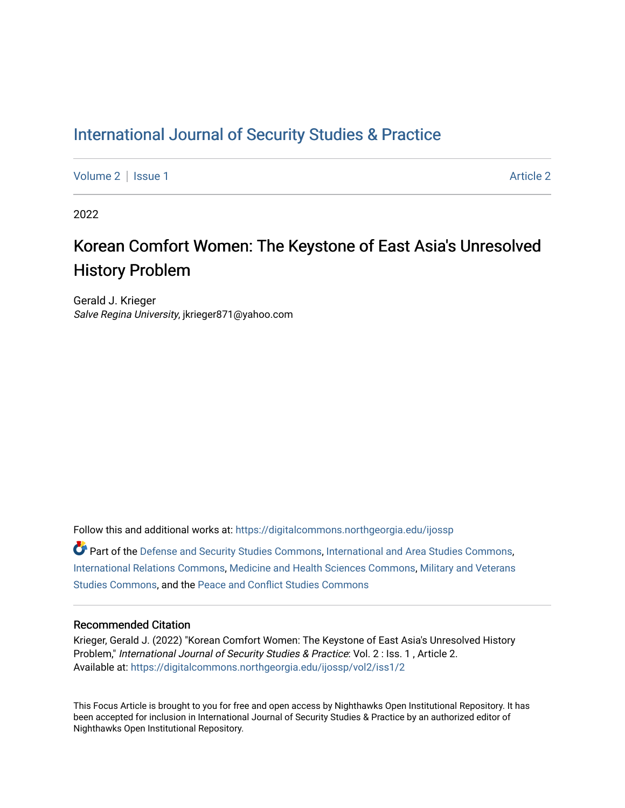### [International Journal of Security Studies & Practice](https://digitalcommons.northgeorgia.edu/ijossp)

[Volume 2](https://digitalcommons.northgeorgia.edu/ijossp/vol2) | [Issue 1](https://digitalcommons.northgeorgia.edu/ijossp/vol2/iss1) [Article 2](https://digitalcommons.northgeorgia.edu/ijossp/vol2/iss1/2) | Article 2 Article 2 | Article 2 | Article 2 | Article 2 | Article 2 | Article 2

2022

# Korean Comfort Women: The Keystone of East Asia's Unresolved History Problem

Gerald J. Krieger Salve Regina University, jkrieger871@yahoo.com

Follow this and additional works at: [https://digitalcommons.northgeorgia.edu/ijossp](https://digitalcommons.northgeorgia.edu/ijossp?utm_source=digitalcommons.northgeorgia.edu%2Fijossp%2Fvol2%2Fiss1%2F2&utm_medium=PDF&utm_campaign=PDFCoverPages) 

Part of the [Defense and Security Studies Commons](http://network.bepress.com/hgg/discipline/394?utm_source=digitalcommons.northgeorgia.edu%2Fijossp%2Fvol2%2Fiss1%2F2&utm_medium=PDF&utm_campaign=PDFCoverPages), [International and Area Studies Commons](http://network.bepress.com/hgg/discipline/360?utm_source=digitalcommons.northgeorgia.edu%2Fijossp%2Fvol2%2Fiss1%2F2&utm_medium=PDF&utm_campaign=PDFCoverPages), [International Relations Commons](http://network.bepress.com/hgg/discipline/389?utm_source=digitalcommons.northgeorgia.edu%2Fijossp%2Fvol2%2Fiss1%2F2&utm_medium=PDF&utm_campaign=PDFCoverPages), [Medicine and Health Sciences Commons](http://network.bepress.com/hgg/discipline/648?utm_source=digitalcommons.northgeorgia.edu%2Fijossp%2Fvol2%2Fiss1%2F2&utm_medium=PDF&utm_campaign=PDFCoverPages), [Military and Veterans](http://network.bepress.com/hgg/discipline/396?utm_source=digitalcommons.northgeorgia.edu%2Fijossp%2Fvol2%2Fiss1%2F2&utm_medium=PDF&utm_campaign=PDFCoverPages) [Studies Commons,](http://network.bepress.com/hgg/discipline/396?utm_source=digitalcommons.northgeorgia.edu%2Fijossp%2Fvol2%2Fiss1%2F2&utm_medium=PDF&utm_campaign=PDFCoverPages) and the [Peace and Conflict Studies Commons](http://network.bepress.com/hgg/discipline/397?utm_source=digitalcommons.northgeorgia.edu%2Fijossp%2Fvol2%2Fiss1%2F2&utm_medium=PDF&utm_campaign=PDFCoverPages) 

#### Recommended Citation

Krieger, Gerald J. (2022) "Korean Comfort Women: The Keystone of East Asia's Unresolved History Problem," International Journal of Security Studies & Practice: Vol. 2 : Iss. 1 , Article 2. Available at: [https://digitalcommons.northgeorgia.edu/ijossp/vol2/iss1/2](https://digitalcommons.northgeorgia.edu/ijossp/vol2/iss1/2?utm_source=digitalcommons.northgeorgia.edu%2Fijossp%2Fvol2%2Fiss1%2F2&utm_medium=PDF&utm_campaign=PDFCoverPages) 

This Focus Article is brought to you for free and open access by Nighthawks Open Institutional Repository. It has been accepted for inclusion in International Journal of Security Studies & Practice by an authorized editor of Nighthawks Open Institutional Repository.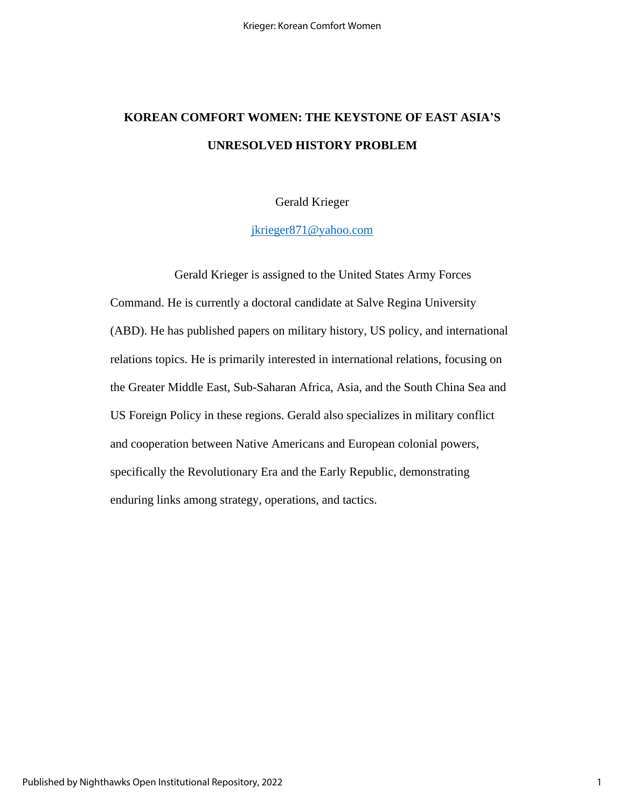# **KOREAN COMFORT WOMEN: THE KEYSTONE OF EAST ASIA'S UNRESOLVED HISTORY PROBLEM**

### Gerald Krieger

[jkrieger871@yahoo.com](mailto:jkrieger871@yahoo.com)

Gerald Krieger is assigned to the United States Army Forces Command. He is currently a doctoral candidate at Salve Regina University (ABD). He has published papers on military history, US policy, and international relations topics. He is primarily interested in international relations, focusing on the Greater Middle East, Sub-Saharan Africa, Asia, and the South China Sea and US Foreign Policy in these regions. Gerald also specializes in military conflict and cooperation between Native Americans and European colonial powers, specifically the Revolutionary Era and the Early Republic, demonstrating enduring links among strategy, operations, and tactics.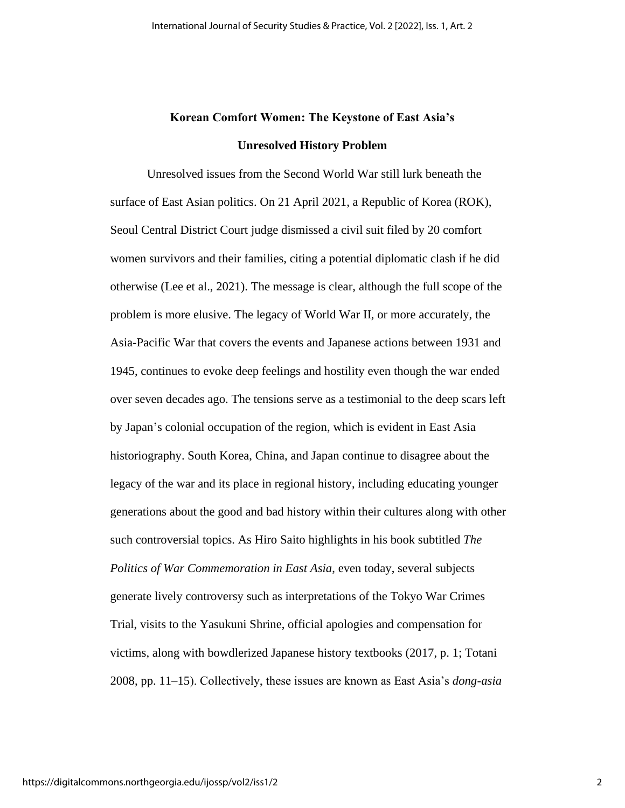## **Korean Comfort Women: The Keystone of East Asia's Unresolved History Problem**

Unresolved issues from the Second World War still lurk beneath the surface of East Asian politics. On 21 April 2021, a Republic of Korea (ROK), Seoul Central District Court judge dismissed a civil suit filed by 20 comfort women survivors and their families, citing a potential diplomatic clash if he did otherwise (Lee et al., 2021). The message is clear, although the full scope of the problem is more elusive. The legacy of World War II, or more accurately, the Asia-Pacific War that covers the events and Japanese actions between 1931 and 1945, continues to evoke deep feelings and hostility even though the war ended over seven decades ago. The tensions serve as a testimonial to the deep scars left by Japan's colonial occupation of the region, which is evident in East Asia historiography. South Korea, China, and Japan continue to disagree about the legacy of the war and its place in regional history, including educating younger generations about the good and bad history within their cultures along with other such controversial topics. As Hiro Saito highlights in his book subtitled *The Politics of War Commemoration in East Asia*, even today, several subjects generate lively controversy such as interpretations of the Tokyo War Crimes Trial, visits to the Yasukuni Shrine, official apologies and compensation for victims, along with bowdlerized Japanese history textbooks (2017, p. 1; Totani 2008, pp. 11–15). Collectively, these issues are known as East Asia's *dong-asia*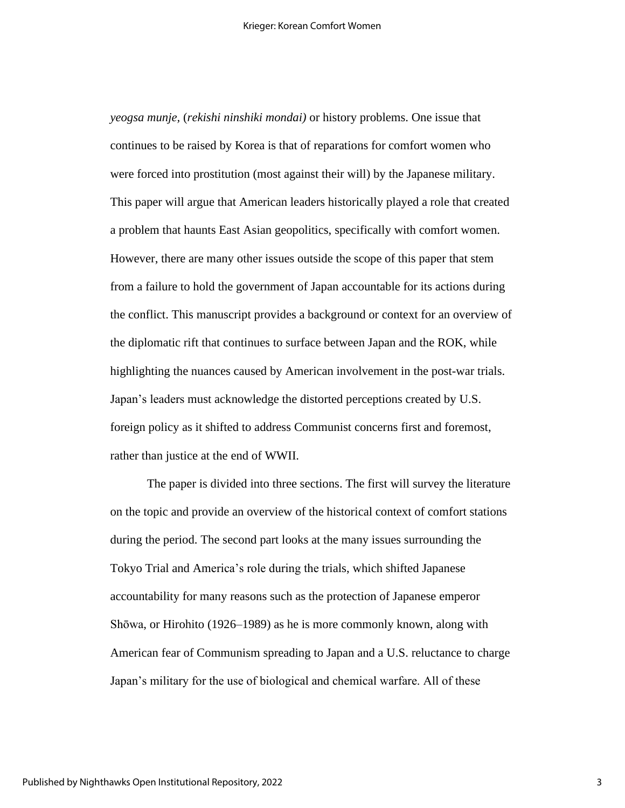*yeogsa munje,* (*rekishi ninshiki mondai)* or history problems. One issue that continues to be raised by Korea is that of reparations for comfort women who were forced into prostitution (most against their will) by the Japanese military. This paper will argue that American leaders historically played a role that created a problem that haunts East Asian geopolitics, specifically with comfort women. However, there are many other issues outside the scope of this paper that stem from a failure to hold the government of Japan accountable for its actions during the conflict. This manuscript provides a background or context for an overview of the diplomatic rift that continues to surface between Japan and the ROK, while highlighting the nuances caused by American involvement in the post-war trials. Japan's leaders must acknowledge the distorted perceptions created by U.S. foreign policy as it shifted to address Communist concerns first and foremost, rather than justice at the end of WWII.

The paper is divided into three sections. The first will survey the literature on the topic and provide an overview of the historical context of comfort stations during the period. The second part looks at the many issues surrounding the Tokyo Trial and America's role during the trials, which shifted Japanese accountability for many reasons such as the protection of Japanese emperor Shōwa, or Hirohito (1926–1989) as he is more commonly known, along with American fear of Communism spreading to Japan and a U.S. reluctance to charge Japan's military for the use of biological and chemical warfare. All of these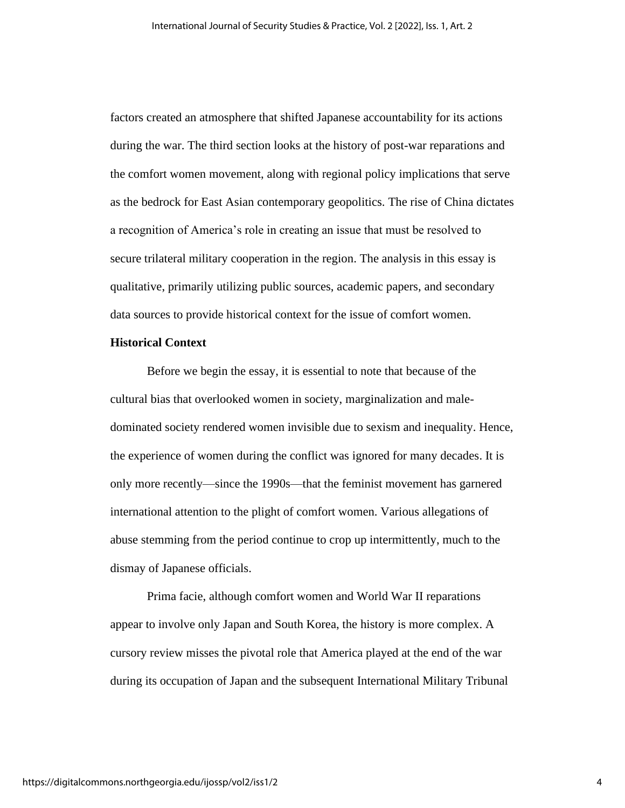factors created an atmosphere that shifted Japanese accountability for its actions during the war. The third section looks at the history of post-war reparations and the comfort women movement, along with regional policy implications that serve as the bedrock for East Asian contemporary geopolitics. The rise of China dictates a recognition of America's role in creating an issue that must be resolved to secure trilateral military cooperation in the region. The analysis in this essay is qualitative, primarily utilizing public sources, academic papers, and secondary data sources to provide historical context for the issue of comfort women.

#### **Historical Context**

Before we begin the essay, it is essential to note that because of the cultural bias that overlooked women in society, marginalization and maledominated society rendered women invisible due to sexism and inequality. Hence, the experience of women during the conflict was ignored for many decades. It is only more recently—since the 1990s—that the feminist movement has garnered international attention to the plight of comfort women. Various allegations of abuse stemming from the period continue to crop up intermittently, much to the dismay of Japanese officials.

Prima facie, although comfort women and World War II reparations appear to involve only Japan and South Korea, the history is more complex. A cursory review misses the pivotal role that America played at the end of the war during its occupation of Japan and the subsequent International Military Tribunal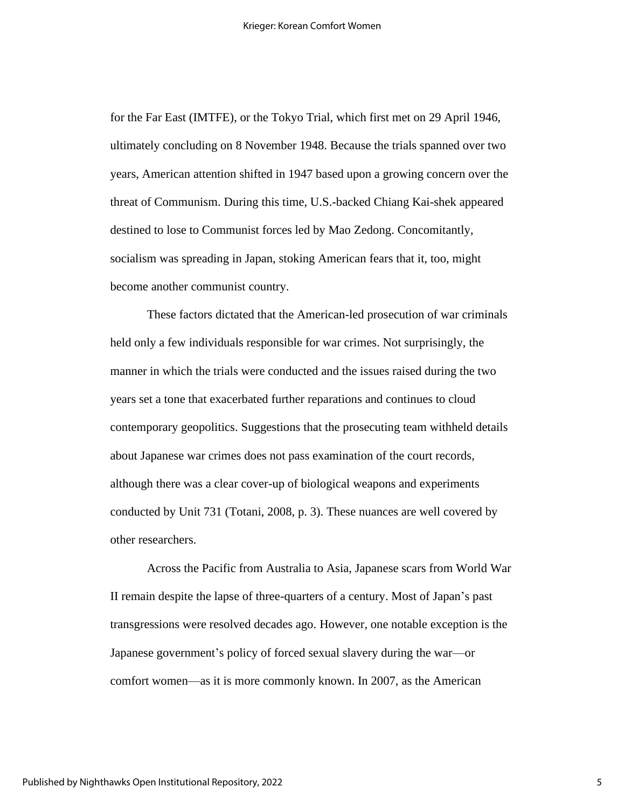for the Far East (IMTFE), or the Tokyo Trial, which first met on 29 April 1946, ultimately concluding on 8 November 1948. Because the trials spanned over two years, American attention shifted in 1947 based upon a growing concern over the threat of Communism. During this time, U.S.-backed Chiang Kai-shek appeared destined to lose to Communist forces led by Mao Zedong. Concomitantly, socialism was spreading in Japan, stoking American fears that it, too, might become another communist country.

These factors dictated that the American-led prosecution of war criminals held only a few individuals responsible for war crimes. Not surprisingly, the manner in which the trials were conducted and the issues raised during the two years set a tone that exacerbated further reparations and continues to cloud contemporary geopolitics. Suggestions that the prosecuting team withheld details about Japanese war crimes does not pass examination of the court records, although there was a clear cover-up of biological weapons and experiments conducted by Unit 731 (Totani, 2008, p. 3). These nuances are well covered by other researchers.

Across the Pacific from Australia to Asia, Japanese scars from World War II remain despite the lapse of three-quarters of a century. Most of Japan's past transgressions were resolved decades ago. However, one notable exception is the Japanese government's policy of forced sexual slavery during the war—or comfort women—as it is more commonly known. In 2007, as the American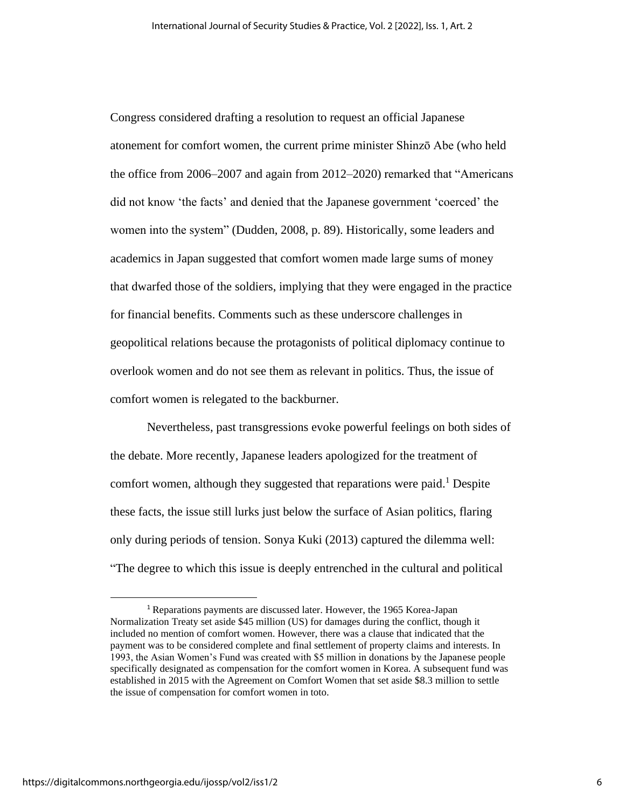Congress considered drafting a resolution to request an official Japanese atonement for comfort women, the current prime minister Shinzō Abe (who held the office from 2006–2007 and again from 2012–2020) remarked that "Americans did not know 'the facts' and denied that the Japanese government 'coerced' the women into the system" (Dudden, 2008, p. 89). Historically, some leaders and academics in Japan suggested that comfort women made large sums of money that dwarfed those of the soldiers, implying that they were engaged in the practice for financial benefits. Comments such as these underscore challenges in geopolitical relations because the protagonists of political diplomacy continue to overlook women and do not see them as relevant in politics. Thus, the issue of comfort women is relegated to the backburner.

Nevertheless, past transgressions evoke powerful feelings on both sides of the debate. More recently, Japanese leaders apologized for the treatment of comfort women, although they suggested that reparations were paid. <sup>1</sup> Despite these facts, the issue still lurks just below the surface of Asian politics, flaring only during periods of tension. Sonya Kuki (2013) captured the dilemma well: "The degree to which this issue is deeply entrenched in the cultural and political

<sup>1</sup> Reparations payments are discussed later. However, the 1965 Korea-Japan Normalization Treaty set aside \$45 million (US) for damages during the conflict, though it included no mention of comfort women. However, there was a clause that indicated that the payment was to be considered complete and final settlement of property claims and interests. In 1993, the Asian Women's Fund was created with \$5 million in donations by the Japanese people specifically designated as compensation for the comfort women in Korea. A subsequent fund was established in 2015 with the Agreement on Comfort Women that set aside \$8.3 million to settle the issue of compensation for comfort women in toto.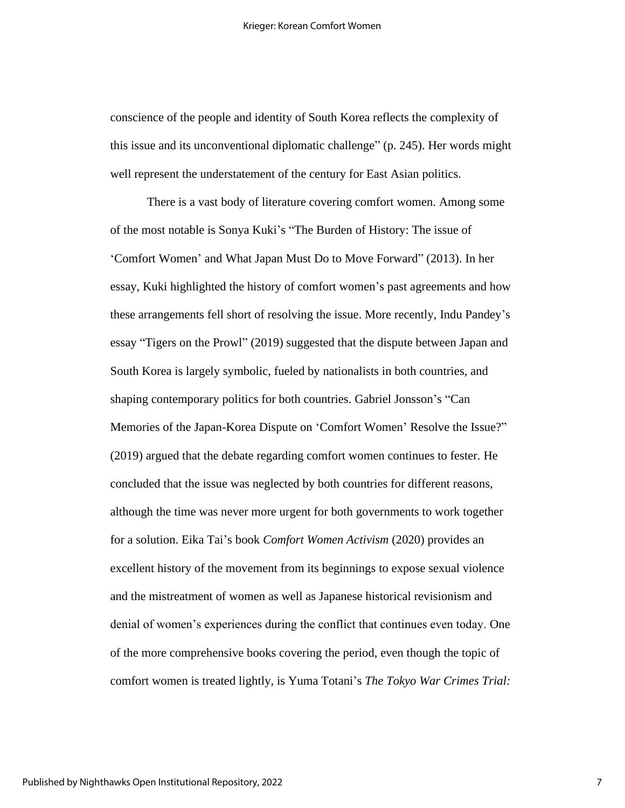conscience of the people and identity of South Korea reflects the complexity of this issue and its unconventional diplomatic challenge" (p. 245). Her words might well represent the understatement of the century for East Asian politics.

There is a vast body of literature covering comfort women. Among some of the most notable is Sonya Kuki's "The Burden of History: The issue of 'Comfort Women' and What Japan Must Do to Move Forward" (2013). In her essay, Kuki highlighted the history of comfort women's past agreements and how these arrangements fell short of resolving the issue. More recently, Indu Pandey's essay "Tigers on the Prowl" (2019) suggested that the dispute between Japan and South Korea is largely symbolic, fueled by nationalists in both countries, and shaping contemporary politics for both countries. Gabriel Jonsson's "Can Memories of the Japan-Korea Dispute on 'Comfort Women' Resolve the Issue?" (2019) argued that the debate regarding comfort women continues to fester. He concluded that the issue was neglected by both countries for different reasons, although the time was never more urgent for both governments to work together for a solution. Eika Tai's book *Comfort Women Activism* (2020) provides an excellent history of the movement from its beginnings to expose sexual violence and the mistreatment of women as well as Japanese historical revisionism and denial of women's experiences during the conflict that continues even today. One of the more comprehensive books covering the period, even though the topic of comfort women is treated lightly, is Yuma Totani's *The Tokyo War Crimes Trial:*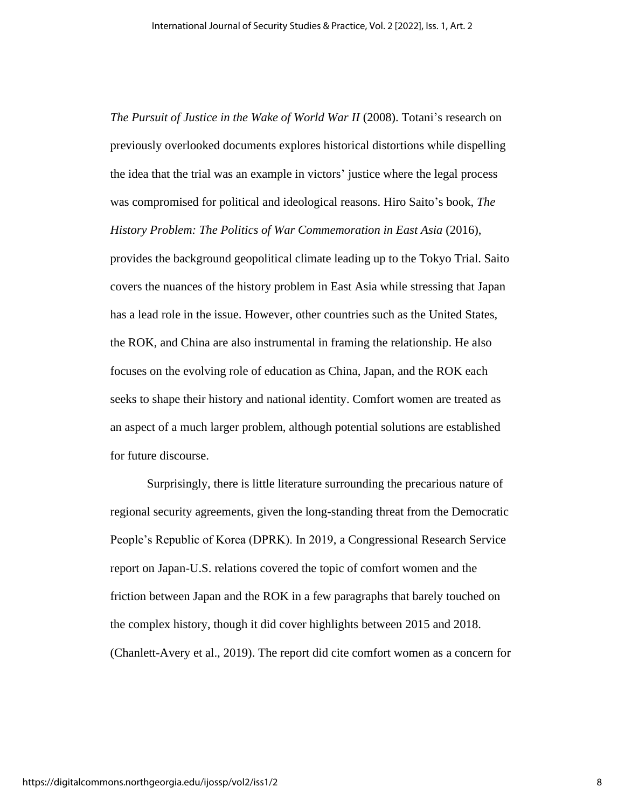*The Pursuit of Justice in the Wake of World War II* (2008). Totani's research on previously overlooked documents explores historical distortions while dispelling the idea that the trial was an example in victors' justice where the legal process was compromised for political and ideological reasons. Hiro Saito's book, *The History Problem: The Politics of War Commemoration in East Asia* (2016),

provides the background geopolitical climate leading up to the Tokyo Trial. Saito covers the nuances of the history problem in East Asia while stressing that Japan has a lead role in the issue. However, other countries such as the United States, the ROK, and China are also instrumental in framing the relationship. He also focuses on the evolving role of education as China, Japan, and the ROK each seeks to shape their history and national identity. Comfort women are treated as an aspect of a much larger problem, although potential solutions are established for future discourse.

Surprisingly, there is little literature surrounding the precarious nature of regional security agreements, given the long-standing threat from the Democratic People's Republic of Korea (DPRK). In 2019, a Congressional Research Service report on Japan-U.S. relations covered the topic of comfort women and the friction between Japan and the ROK in a few paragraphs that barely touched on the complex history, though it did cover highlights between 2015 and 2018. (Chanlett-Avery et al., 2019). The report did cite comfort women as a concern for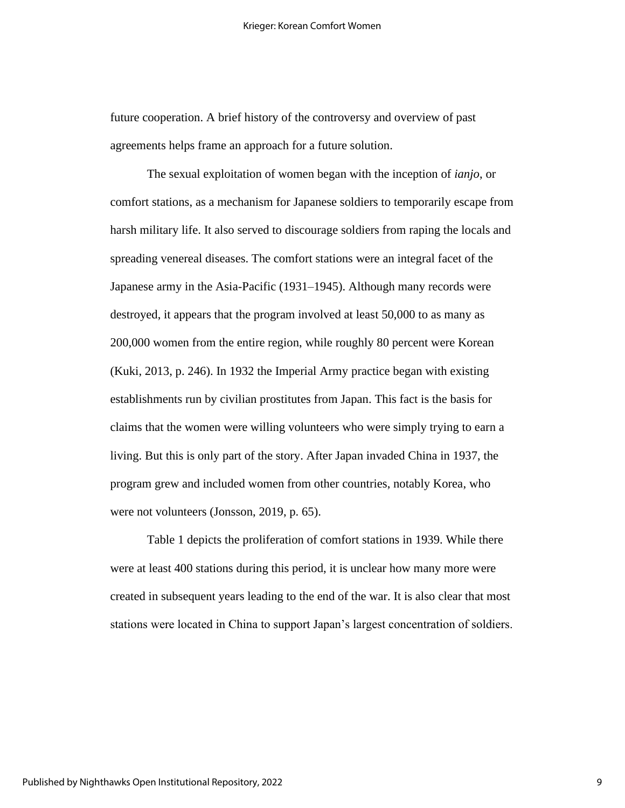future cooperation. A brief history of the controversy and overview of past agreements helps frame an approach for a future solution.

The sexual exploitation of women began with the inception of *ianjo*, or comfort stations, as a mechanism for Japanese soldiers to temporarily escape from harsh military life. It also served to discourage soldiers from raping the locals and spreading venereal diseases. The comfort stations were an integral facet of the Japanese army in the Asia-Pacific (1931–1945). Although many records were destroyed, it appears that the program involved at least 50,000 to as many as 200,000 women from the entire region, while roughly 80 percent were Korean (Kuki, 2013, p. 246). In 1932 the Imperial Army practice began with existing establishments run by civilian prostitutes from Japan. This fact is the basis for claims that the women were willing volunteers who were simply trying to earn a living. But this is only part of the story. After Japan invaded China in 1937, the program grew and included women from other countries, notably Korea, who were not volunteers (Jonsson, 2019, p. 65).

Table 1 depicts the proliferation of comfort stations in 1939. While there were at least 400 stations during this period, it is unclear how many more were created in subsequent years leading to the end of the war. It is also clear that most stations were located in China to support Japan's largest concentration of soldiers.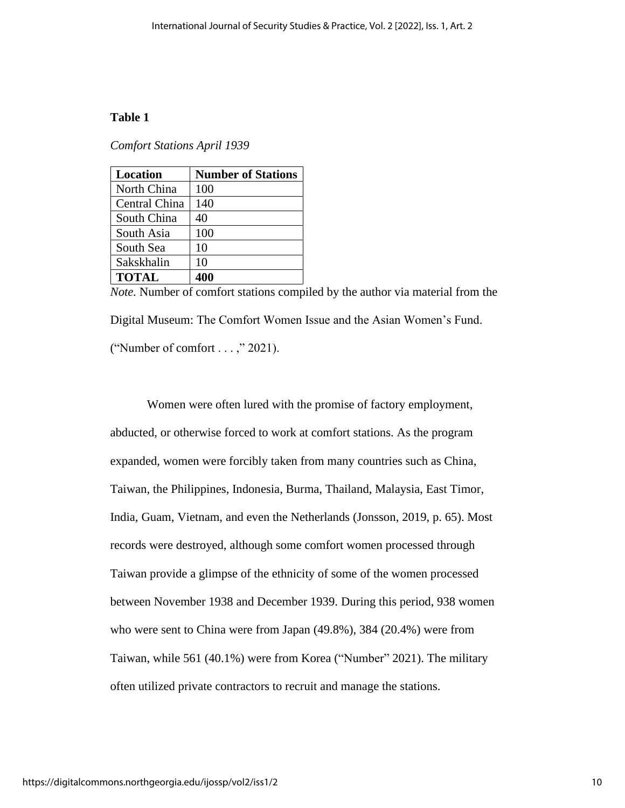### **Table 1**

*Comfort Stations April 1939* 

| Location      | <b>Number of Stations</b> |
|---------------|---------------------------|
| North China   | 100                       |
| Central China | 140                       |
| South China   | 40                        |
| South Asia    | 100                       |
| South Sea     | 10                        |
| Sakskhalin    | 10                        |
| <b>TOTAL</b>  | 400                       |

*Note.* Number of comfort stations compiled by the author via material from the Digital Museum: The Comfort Women Issue and the Asian Women's Fund. ("Number of comfort . . . ," 2021).

Women were often lured with the promise of factory employment, abducted, or otherwise forced to work at comfort stations. As the program expanded, women were forcibly taken from many countries such as China, Taiwan, the Philippines, Indonesia, Burma, Thailand, Malaysia, East Timor, India, Guam, Vietnam, and even the Netherlands (Jonsson, 2019, p. 65). Most records were destroyed, although some comfort women processed through Taiwan provide a glimpse of the ethnicity of some of the women processed between November 1938 and December 1939. During this period, 938 women who were sent to China were from Japan (49.8%), 384 (20.4%) were from Taiwan, while 561 (40.1%) were from Korea ("Number" 2021). The military often utilized private contractors to recruit and manage the stations.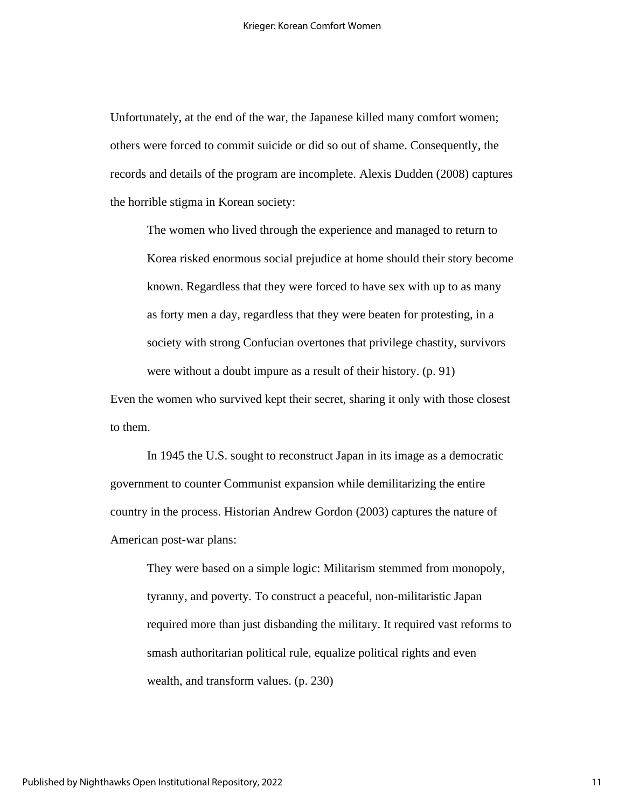Unfortunately, at the end of the war, the Japanese killed many comfort women; others were forced to commit suicide or did so out of shame. Consequently, the records and details of the program are incomplete. Alexis Dudden (2008) captures the horrible stigma in Korean society:

The women who lived through the experience and managed to return to Korea risked enormous social prejudice at home should their story become known. Regardless that they were forced to have sex with up to as many as forty men a day, regardless that they were beaten for protesting, in a society with strong Confucian overtones that privilege chastity, survivors were without a doubt impure as a result of their history. (p. 91)

Even the women who survived kept their secret, sharing it only with those closest to them.

In 1945 the U.S. sought to reconstruct Japan in its image as a democratic government to counter Communist expansion while demilitarizing the entire country in the process. Historian Andrew Gordon (2003) captures the nature of American post-war plans:

They were based on a simple logic: Militarism stemmed from monopoly, tyranny, and poverty. To construct a peaceful, non-militaristic Japan required more than just disbanding the military. It required vast reforms to smash authoritarian political rule, equalize political rights and even wealth, and transform values. (p. 230)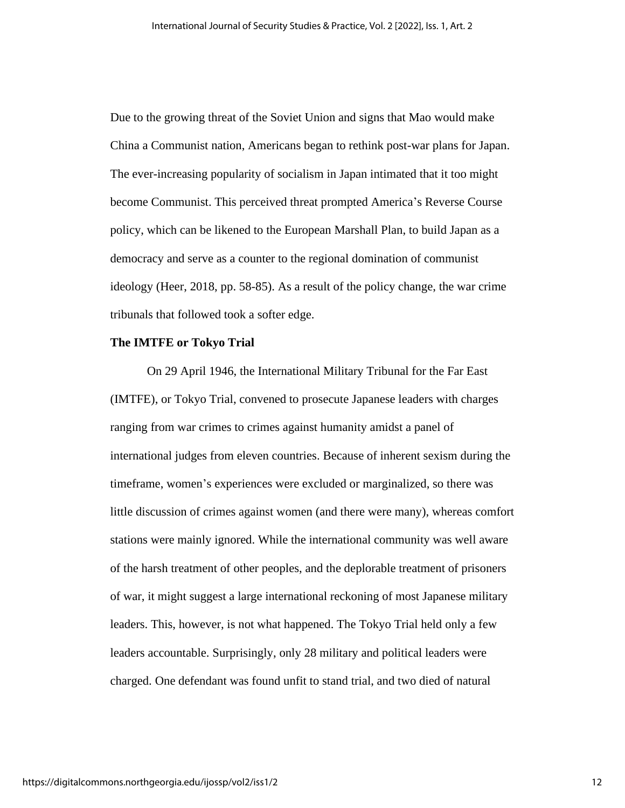Due to the growing threat of the Soviet Union and signs that Mao would make China a Communist nation, Americans began to rethink post-war plans for Japan. The ever-increasing popularity of socialism in Japan intimated that it too might become Communist. This perceived threat prompted America's Reverse Course policy, which can be likened to the European Marshall Plan, to build Japan as a democracy and serve as a counter to the regional domination of communist ideology (Heer, 2018, pp. 58-85). As a result of the policy change, the war crime tribunals that followed took a softer edge.

#### **The IMTFE or Tokyo Trial**

On 29 April 1946, the International Military Tribunal for the Far East (IMTFE), or Tokyo Trial, convened to prosecute Japanese leaders with charges ranging from war crimes to crimes against humanity amidst a panel of international judges from eleven countries. Because of inherent sexism during the timeframe, women's experiences were excluded or marginalized, so there was little discussion of crimes against women (and there were many), whereas comfort stations were mainly ignored. While the international community was well aware of the harsh treatment of other peoples, and the deplorable treatment of prisoners of war, it might suggest a large international reckoning of most Japanese military leaders. This, however, is not what happened. The Tokyo Trial held only a few leaders accountable. Surprisingly, only 28 military and political leaders were charged. One defendant was found unfit to stand trial, and two died of natural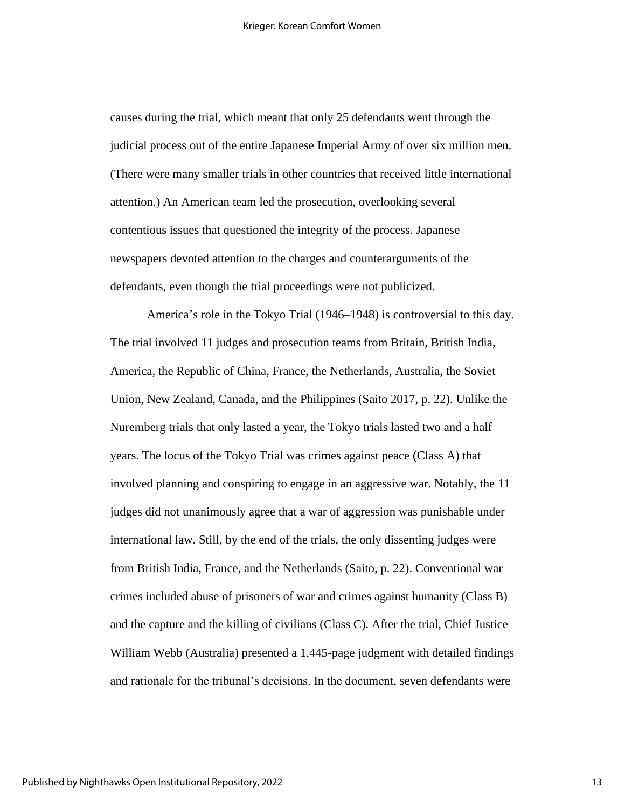causes during the trial, which meant that only 25 defendants went through the judicial process out of the entire Japanese Imperial Army of over six million men. (There were many smaller trials in other countries that received little international attention.) An American team led the prosecution, overlooking several contentious issues that questioned the integrity of the process. Japanese newspapers devoted attention to the charges and counterarguments of the defendants, even though the trial proceedings were not publicized.

America's role in the Tokyo Trial (1946–1948) is controversial to this day. The trial involved 11 judges and prosecution teams from Britain, British India, America, the Republic of China, France, the Netherlands, Australia, the Soviet Union, New Zealand, Canada, and the Philippines (Saito 2017, p. 22). Unlike the Nuremberg trials that only lasted a year, the Tokyo trials lasted two and a half years. The locus of the Tokyo Trial was crimes against peace (Class A) that involved planning and conspiring to engage in an aggressive war. Notably, the 11 judges did not unanimously agree that a war of aggression was punishable under international law. Still, by the end of the trials, the only dissenting judges were from British India, France, and the Netherlands (Saito, p. 22). Conventional war crimes included abuse of prisoners of war and crimes against humanity (Class B) and the capture and the killing of civilians (Class C). After the trial, Chief Justice William Webb (Australia) presented a 1,445-page judgment with detailed findings and rationale for the tribunal's decisions. In the document, seven defendants were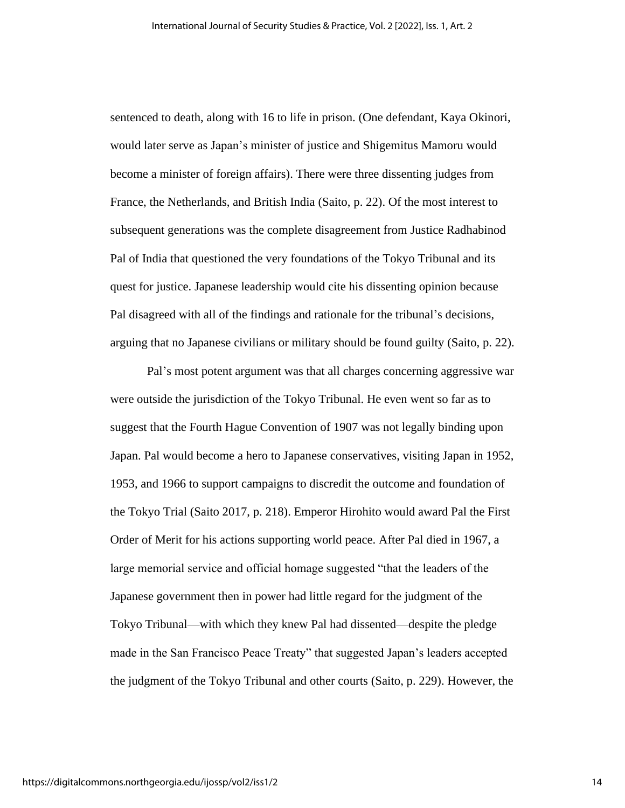sentenced to death, along with 16 to life in prison. (One defendant, Kaya Okinori, would later serve as Japan's minister of justice and Shigemitus Mamoru would become a minister of foreign affairs). There were three dissenting judges from France, the Netherlands, and British India (Saito, p. 22). Of the most interest to subsequent generations was the complete disagreement from Justice Radhabinod Pal of India that questioned the very foundations of the Tokyo Tribunal and its quest for justice. Japanese leadership would cite his dissenting opinion because Pal disagreed with all of the findings and rationale for the tribunal's decisions, arguing that no Japanese civilians or military should be found guilty (Saito, p. 22).

Pal's most potent argument was that all charges concerning aggressive war were outside the jurisdiction of the Tokyo Tribunal. He even went so far as to suggest that the Fourth Hague Convention of 1907 was not legally binding upon Japan. Pal would become a hero to Japanese conservatives, visiting Japan in 1952, 1953, and 1966 to support campaigns to discredit the outcome and foundation of the Tokyo Trial (Saito 2017, p. 218). Emperor Hirohito would award Pal the First Order of Merit for his actions supporting world peace. After Pal died in 1967, a large memorial service and official homage suggested "that the leaders of the Japanese government then in power had little regard for the judgment of the Tokyo Tribunal—with which they knew Pal had dissented—despite the pledge made in the San Francisco Peace Treaty" that suggested Japan's leaders accepted the judgment of the Tokyo Tribunal and other courts (Saito, p. 229). However, the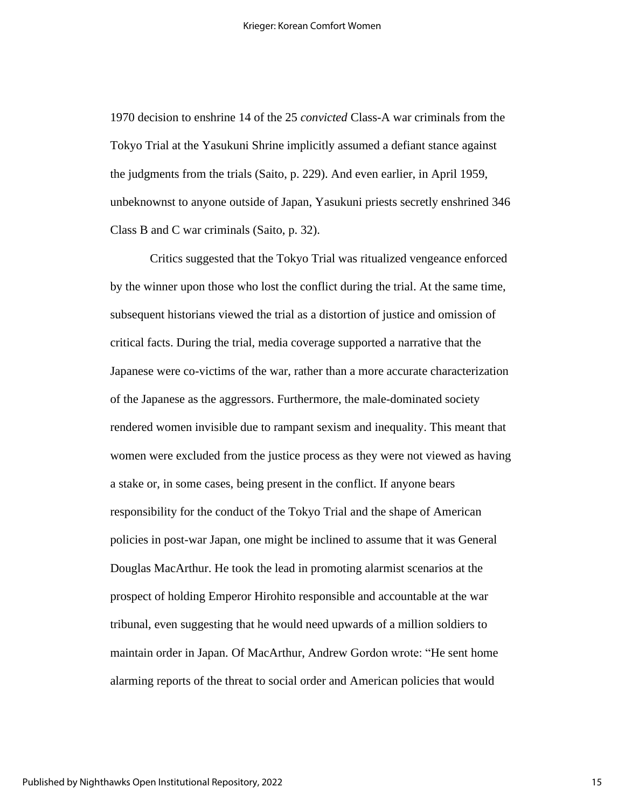1970 decision to enshrine 14 of the 25 *convicted* Class-A war criminals from the Tokyo Trial at the Yasukuni Shrine implicitly assumed a defiant stance against the judgments from the trials (Saito, p. 229). And even earlier, in April 1959, unbeknownst to anyone outside of Japan, Yasukuni priests secretly enshrined 346 Class B and C war criminals (Saito, p. 32).

Critics suggested that the Tokyo Trial was ritualized vengeance enforced by the winner upon those who lost the conflict during the trial. At the same time, subsequent historians viewed the trial as a distortion of justice and omission of critical facts. During the trial, media coverage supported a narrative that the Japanese were co-victims of the war, rather than a more accurate characterization of the Japanese as the aggressors. Furthermore, the male-dominated society rendered women invisible due to rampant sexism and inequality. This meant that women were excluded from the justice process as they were not viewed as having a stake or, in some cases, being present in the conflict. If anyone bears responsibility for the conduct of the Tokyo Trial and the shape of American policies in post-war Japan, one might be inclined to assume that it was General Douglas MacArthur. He took the lead in promoting alarmist scenarios at the prospect of holding Emperor Hirohito responsible and accountable at the war tribunal, even suggesting that he would need upwards of a million soldiers to maintain order in Japan. Of MacArthur, Andrew Gordon wrote: "He sent home alarming reports of the threat to social order and American policies that would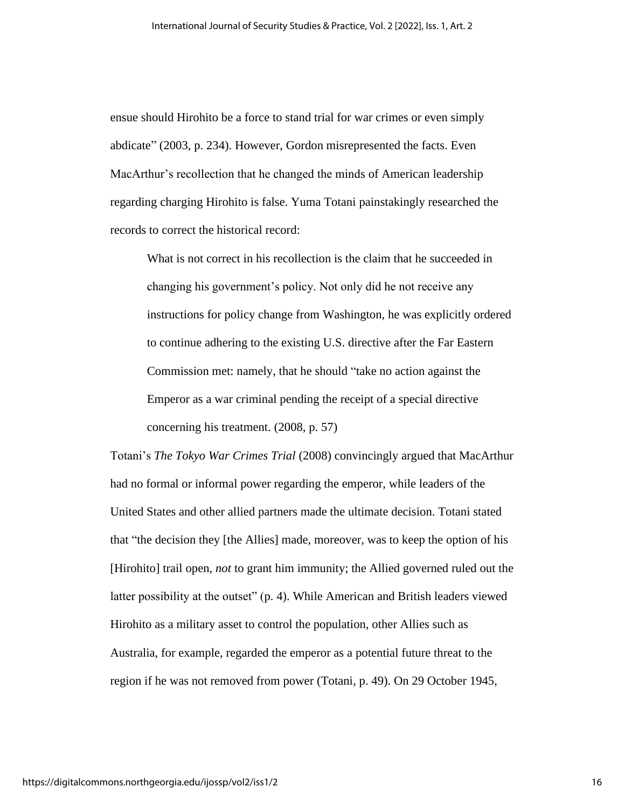ensue should Hirohito be a force to stand trial for war crimes or even simply abdicate" (2003, p. 234). However, Gordon misrepresented the facts. Even MacArthur's recollection that he changed the minds of American leadership regarding charging Hirohito is false. Yuma Totani painstakingly researched the records to correct the historical record:

What is not correct in his recollection is the claim that he succeeded in changing his government's policy. Not only did he not receive any instructions for policy change from Washington, he was explicitly ordered to continue adhering to the existing U.S. directive after the Far Eastern Commission met: namely, that he should "take no action against the Emperor as a war criminal pending the receipt of a special directive concerning his treatment. (2008*,* p. 57)

Totani's *The Tokyo War Crimes Trial* (2008) convincingly argued that MacArthur had no formal or informal power regarding the emperor, while leaders of the United States and other allied partners made the ultimate decision. Totani stated that "the decision they [the Allies] made, moreover, was to keep the option of his [Hirohito] trail open, *not* to grant him immunity; the Allied governed ruled out the latter possibility at the outset" (p. 4). While American and British leaders viewed Hirohito as a military asset to control the population, other Allies such as Australia, for example, regarded the emperor as a potential future threat to the region if he was not removed from power (Totani, p. 49). On 29 October 1945,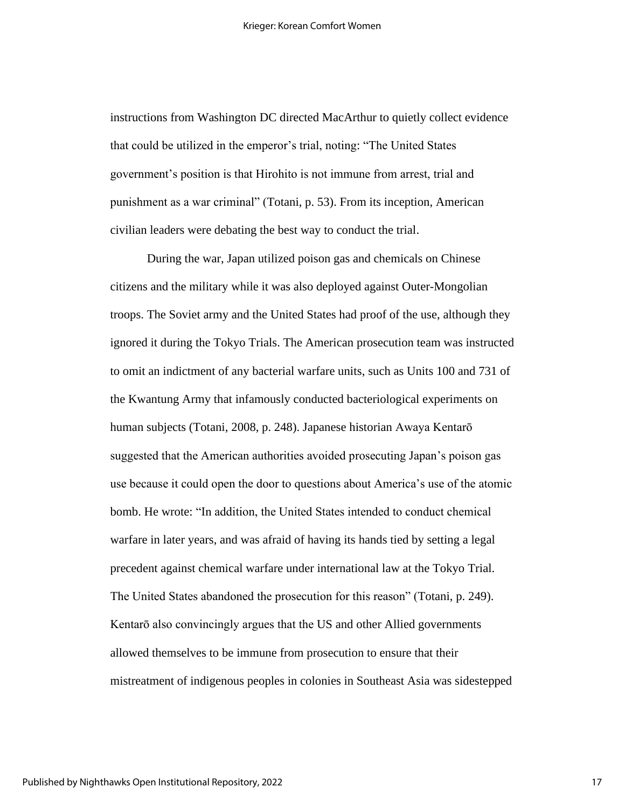instructions from Washington DC directed MacArthur to quietly collect evidence that could be utilized in the emperor's trial, noting: "The United States government's position is that Hirohito is not immune from arrest, trial and punishment as a war criminal" (Totani, p. 53). From its inception, American civilian leaders were debating the best way to conduct the trial.

During the war, Japan utilized poison gas and chemicals on Chinese citizens and the military while it was also deployed against Outer-Mongolian troops. The Soviet army and the United States had proof of the use, although they ignored it during the Tokyo Trials. The American prosecution team was instructed to omit an indictment of any bacterial warfare units, such as Units 100 and 731 of the Kwantung Army that infamously conducted bacteriological experiments on human subjects (Totani, 2008, p. 248). Japanese historian Awaya Kentarō suggested that the American authorities avoided prosecuting Japan's poison gas use because it could open the door to questions about America's use of the atomic bomb. He wrote: "In addition, the United States intended to conduct chemical warfare in later years, and was afraid of having its hands tied by setting a legal precedent against chemical warfare under international law at the Tokyo Trial. The United States abandoned the prosecution for this reason" (Totani, p. 249). Kentarō also convincingly argues that the US and other Allied governments allowed themselves to be immune from prosecution to ensure that their mistreatment of indigenous peoples in colonies in Southeast Asia was sidestepped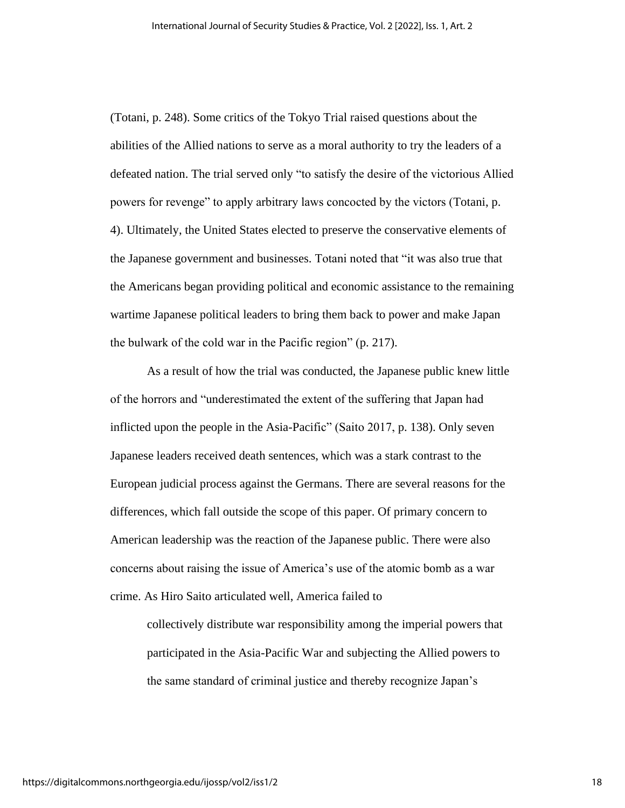(Totani, p. 248). Some critics of the Tokyo Trial raised questions about the abilities of the Allied nations to serve as a moral authority to try the leaders of a defeated nation. The trial served only "to satisfy the desire of the victorious Allied powers for revenge" to apply arbitrary laws concocted by the victors (Totani, p. 4). Ultimately, the United States elected to preserve the conservative elements of the Japanese government and businesses. Totani noted that "it was also true that the Americans began providing political and economic assistance to the remaining wartime Japanese political leaders to bring them back to power and make Japan the bulwark of the cold war in the Pacific region" (p. 217).

As a result of how the trial was conducted, the Japanese public knew little of the horrors and "underestimated the extent of the suffering that Japan had inflicted upon the people in the Asia-Pacific" (Saito 2017, p. 138). Only seven Japanese leaders received death sentences, which was a stark contrast to the European judicial process against the Germans. There are several reasons for the differences, which fall outside the scope of this paper. Of primary concern to American leadership was the reaction of the Japanese public. There were also concerns about raising the issue of America's use of the atomic bomb as a war crime. As Hiro Saito articulated well, America failed to

collectively distribute war responsibility among the imperial powers that participated in the Asia-Pacific War and subjecting the Allied powers to the same standard of criminal justice and thereby recognize Japan's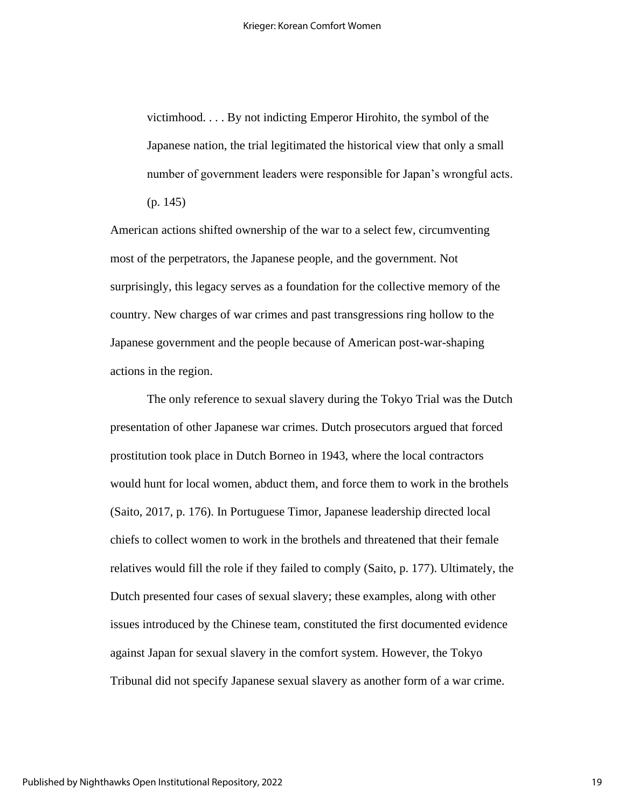victimhood. . . . By not indicting Emperor Hirohito, the symbol of the Japanese nation, the trial legitimated the historical view that only a small number of government leaders were responsible for Japan's wrongful acts. (p. 145)

American actions shifted ownership of the war to a select few, circumventing most of the perpetrators, the Japanese people, and the government. Not surprisingly, this legacy serves as a foundation for the collective memory of the country. New charges of war crimes and past transgressions ring hollow to the Japanese government and the people because of American post-war-shaping actions in the region.

The only reference to sexual slavery during the Tokyo Trial was the Dutch presentation of other Japanese war crimes. Dutch prosecutors argued that forced prostitution took place in Dutch Borneo in 1943, where the local contractors would hunt for local women, abduct them, and force them to work in the brothels (Saito, 2017, p. 176). In Portuguese Timor, Japanese leadership directed local chiefs to collect women to work in the brothels and threatened that their female relatives would fill the role if they failed to comply (Saito, p. 177). Ultimately, the Dutch presented four cases of sexual slavery; these examples, along with other issues introduced by the Chinese team, constituted the first documented evidence against Japan for sexual slavery in the comfort system. However, the Tokyo Tribunal did not specify Japanese sexual slavery as another form of a war crime.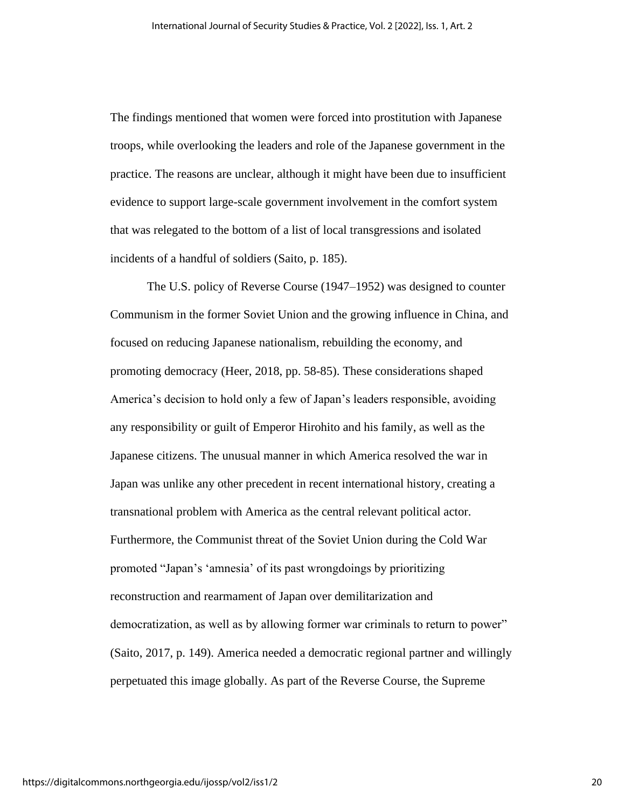The findings mentioned that women were forced into prostitution with Japanese troops, while overlooking the leaders and role of the Japanese government in the practice. The reasons are unclear, although it might have been due to insufficient evidence to support large-scale government involvement in the comfort system that was relegated to the bottom of a list of local transgressions and isolated incidents of a handful of soldiers (Saito, p. 185).

The U.S. policy of Reverse Course (1947–1952) was designed to counter Communism in the former Soviet Union and the growing influence in China, and focused on reducing Japanese nationalism, rebuilding the economy, and promoting democracy (Heer, 2018, pp. 58-85). These considerations shaped America's decision to hold only a few of Japan's leaders responsible, avoiding any responsibility or guilt of Emperor Hirohito and his family, as well as the Japanese citizens. The unusual manner in which America resolved the war in Japan was unlike any other precedent in recent international history, creating a transnational problem with America as the central relevant political actor. Furthermore, the Communist threat of the Soviet Union during the Cold War promoted "Japan's 'amnesia' of its past wrongdoings by prioritizing reconstruction and rearmament of Japan over demilitarization and democratization, as well as by allowing former war criminals to return to power" (Saito, 2017, p. 149). America needed a democratic regional partner and willingly perpetuated this image globally. As part of the Reverse Course, the Supreme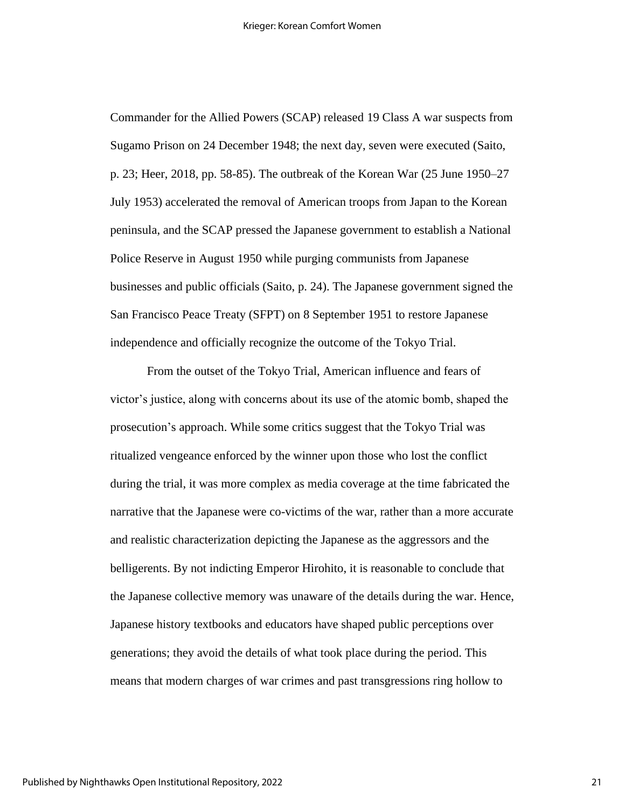Commander for the Allied Powers (SCAP) released 19 Class A war suspects from Sugamo Prison on 24 December 1948; the next day, seven were executed (Saito, p. 23; Heer, 2018, pp. 58-85). The outbreak of the Korean War (25 June 1950–27 July 1953) accelerated the removal of American troops from Japan to the Korean peninsula, and the SCAP pressed the Japanese government to establish a National Police Reserve in August 1950 while purging communists from Japanese businesses and public officials (Saito, p. 24). The Japanese government signed the San Francisco Peace Treaty (SFPT) on 8 September 1951 to restore Japanese independence and officially recognize the outcome of the Tokyo Trial.

From the outset of the Tokyo Trial, American influence and fears of victor's justice, along with concerns about its use of the atomic bomb, shaped the prosecution's approach. While some critics suggest that the Tokyo Trial was ritualized vengeance enforced by the winner upon those who lost the conflict during the trial, it was more complex as media coverage at the time fabricated the narrative that the Japanese were co-victims of the war, rather than a more accurate and realistic characterization depicting the Japanese as the aggressors and the belligerents. By not indicting Emperor Hirohito, it is reasonable to conclude that the Japanese collective memory was unaware of the details during the war. Hence, Japanese history textbooks and educators have shaped public perceptions over generations; they avoid the details of what took place during the period. This means that modern charges of war crimes and past transgressions ring hollow to

21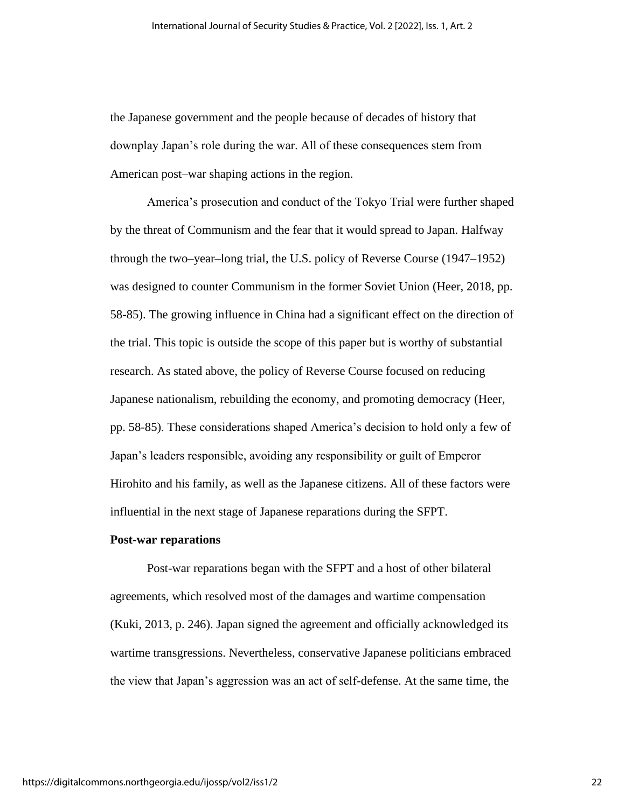the Japanese government and the people because of decades of history that downplay Japan's role during the war. All of these consequences stem from American post–war shaping actions in the region.

America's prosecution and conduct of the Tokyo Trial were further shaped by the threat of Communism and the fear that it would spread to Japan. Halfway through the two–year–long trial, the U.S. policy of Reverse Course (1947–1952) was designed to counter Communism in the former Soviet Union (Heer, 2018, pp. 58-85). The growing influence in China had a significant effect on the direction of the trial. This topic is outside the scope of this paper but is worthy of substantial research. As stated above, the policy of Reverse Course focused on reducing Japanese nationalism, rebuilding the economy, and promoting democracy (Heer, pp. 58-85). These considerations shaped America's decision to hold only a few of Japan's leaders responsible, avoiding any responsibility or guilt of Emperor Hirohito and his family, as well as the Japanese citizens. All of these factors were influential in the next stage of Japanese reparations during the SFPT.

#### **Post-war reparations**

Post-war reparations began with the SFPT and a host of other bilateral agreements, which resolved most of the damages and wartime compensation (Kuki, 2013, p. 246). Japan signed the agreement and officially acknowledged its wartime transgressions. Nevertheless, conservative Japanese politicians embraced the view that Japan's aggression was an act of self-defense. At the same time, the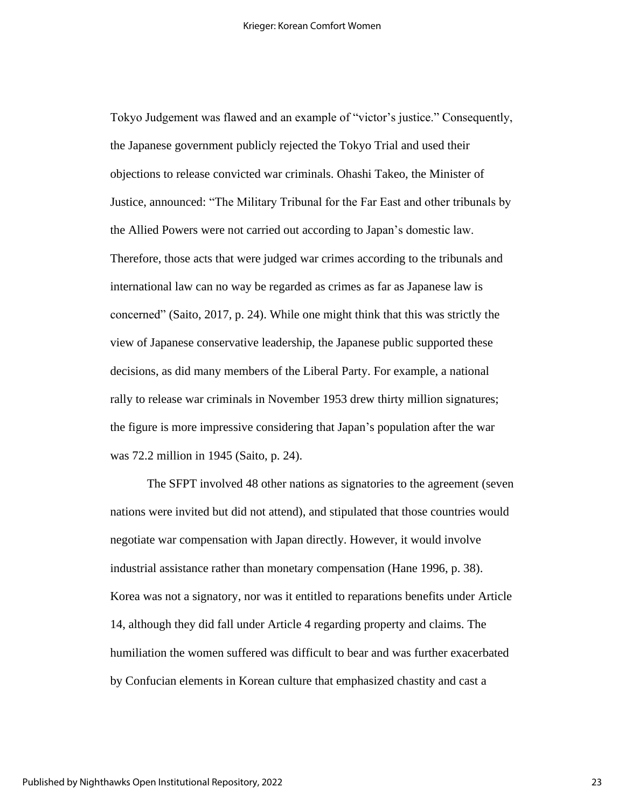Tokyo Judgement was flawed and an example of "victor's justice." Consequently, the Japanese government publicly rejected the Tokyo Trial and used their objections to release convicted war criminals. Ohashi Takeo, the Minister of Justice, announced: "The Military Tribunal for the Far East and other tribunals by the Allied Powers were not carried out according to Japan's domestic law. Therefore, those acts that were judged war crimes according to the tribunals and international law can no way be regarded as crimes as far as Japanese law is concerned" (Saito, 2017, p. 24). While one might think that this was strictly the view of Japanese conservative leadership, the Japanese public supported these decisions, as did many members of the Liberal Party. For example, a national rally to release war criminals in November 1953 drew thirty million signatures; the figure is more impressive considering that Japan's population after the war was 72.2 million in 1945 (Saito, p. 24).

The SFPT involved 48 other nations as signatories to the agreement (seven nations were invited but did not attend), and stipulated that those countries would negotiate war compensation with Japan directly. However, it would involve industrial assistance rather than monetary compensation (Hane 1996, p. 38). Korea was not a signatory, nor was it entitled to reparations benefits under Article 14, although they did fall under Article 4 regarding property and claims. The humiliation the women suffered was difficult to bear and was further exacerbated by Confucian elements in Korean culture that emphasized chastity and cast a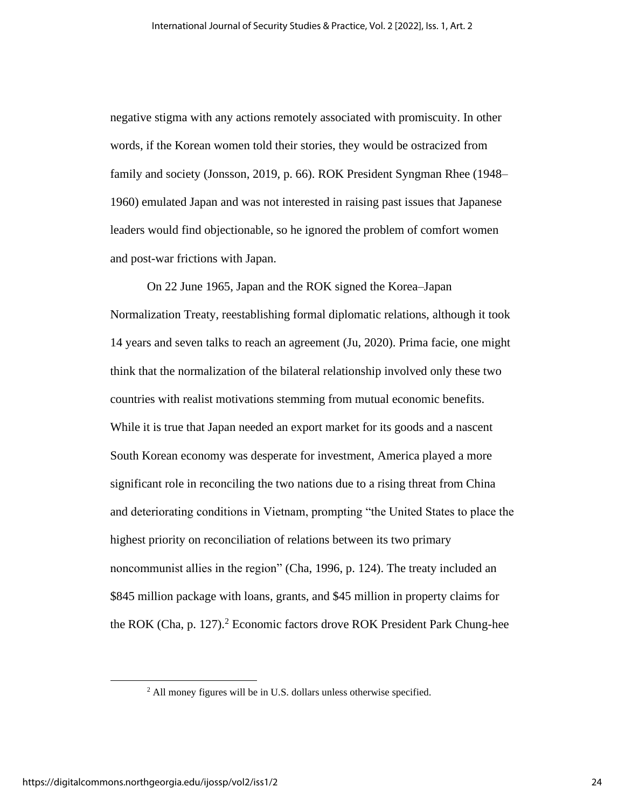negative stigma with any actions remotely associated with promiscuity. In other words, if the Korean women told their stories, they would be ostracized from family and society (Jonsson, 2019, p. 66). ROK President Syngman Rhee (1948– 1960) emulated Japan and was not interested in raising past issues that Japanese leaders would find objectionable, so he ignored the problem of comfort women and post-war frictions with Japan.

On 22 June 1965, Japan and the ROK signed the Korea–Japan Normalization Treaty, reestablishing formal diplomatic relations, although it took 14 years and seven talks to reach an agreement (Ju, 2020). Prima facie, one might think that the normalization of the bilateral relationship involved only these two countries with realist motivations stemming from mutual economic benefits. While it is true that Japan needed an export market for its goods and a nascent South Korean economy was desperate for investment, America played a more significant role in reconciling the two nations due to a rising threat from China and deteriorating conditions in Vietnam, prompting "the United States to place the highest priority on reconciliation of relations between its two primary noncommunist allies in the region" (Cha, 1996, p. 124). The treaty included an \$845 million package with loans, grants, and \$45 million in property claims for the ROK (Cha, p. 127). <sup>2</sup> Economic factors drove ROK President Park Chung-hee

 $<sup>2</sup>$  All money figures will be in U.S. dollars unless otherwise specified.</sup>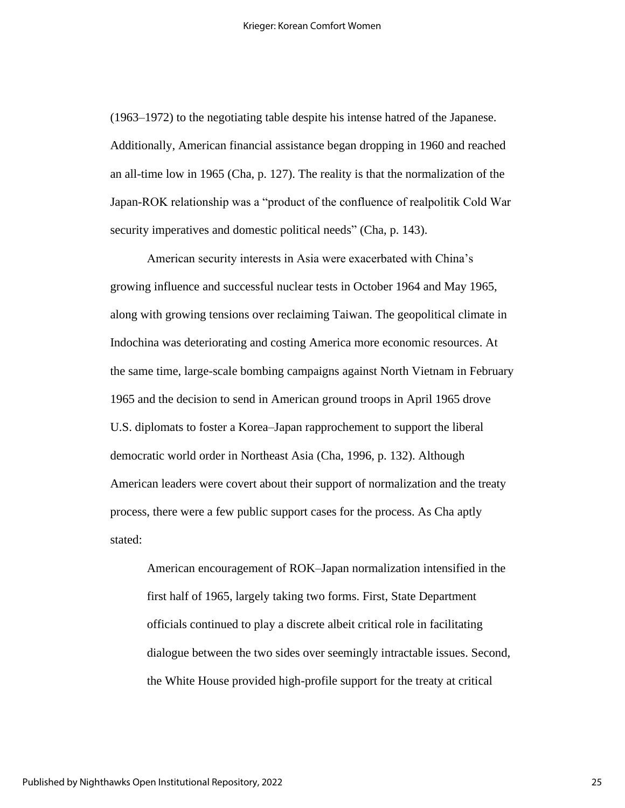(1963–1972) to the negotiating table despite his intense hatred of the Japanese. Additionally, American financial assistance began dropping in 1960 and reached an all-time low in 1965 (Cha, p. 127). The reality is that the normalization of the Japan-ROK relationship was a "product of the confluence of realpolitik Cold War security imperatives and domestic political needs" (Cha, p. 143).

American security interests in Asia were exacerbated with China's growing influence and successful nuclear tests in October 1964 and May 1965, along with growing tensions over reclaiming Taiwan. The geopolitical climate in Indochina was deteriorating and costing America more economic resources. At the same time, large-scale bombing campaigns against North Vietnam in February 1965 and the decision to send in American ground troops in April 1965 drove U.S. diplomats to foster a Korea–Japan rapprochement to support the liberal democratic world order in Northeast Asia (Cha, 1996, p. 132). Although American leaders were covert about their support of normalization and the treaty process, there were a few public support cases for the process. As Cha aptly stated:

American encouragement of ROK–Japan normalization intensified in the first half of 1965, largely taking two forms. First, State Department officials continued to play a discrete albeit critical role in facilitating dialogue between the two sides over seemingly intractable issues. Second, the White House provided high-profile support for the treaty at critical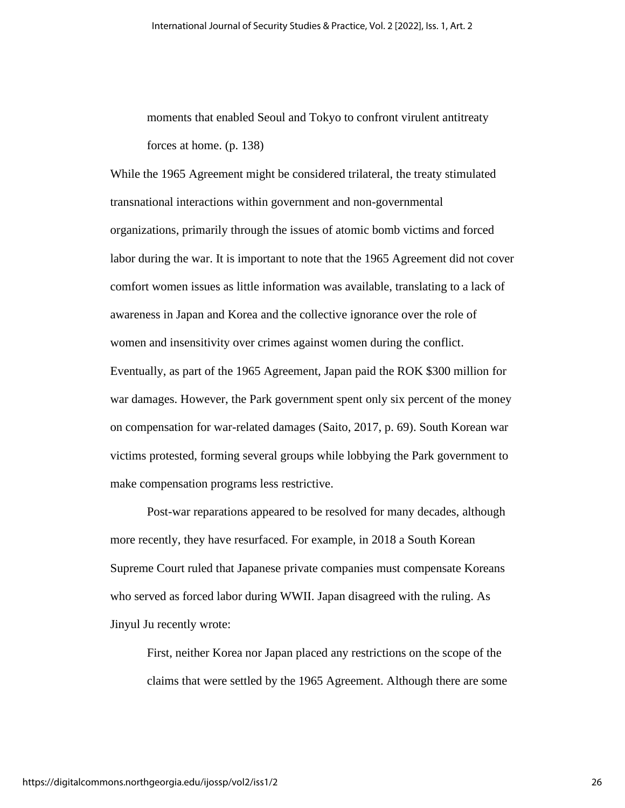moments that enabled Seoul and Tokyo to confront virulent antitreaty forces at home. (p. 138)

While the 1965 Agreement might be considered trilateral, the treaty stimulated transnational interactions within government and non-governmental organizations, primarily through the issues of atomic bomb victims and forced labor during the war. It is important to note that the 1965 Agreement did not cover comfort women issues as little information was available, translating to a lack of awareness in Japan and Korea and the collective ignorance over the role of women and insensitivity over crimes against women during the conflict. Eventually, as part of the 1965 Agreement, Japan paid the ROK \$300 million for war damages. However, the Park government spent only six percent of the money on compensation for war-related damages (Saito, 2017, p. 69). South Korean war victims protested, forming several groups while lobbying the Park government to

make compensation programs less restrictive.

Post-war reparations appeared to be resolved for many decades, although more recently, they have resurfaced. For example, in 2018 a South Korean Supreme Court ruled that Japanese private companies must compensate Koreans who served as forced labor during WWII. Japan disagreed with the ruling. As Jinyul Ju recently wrote:

First, neither Korea nor Japan placed any restrictions on the scope of the claims that were settled by the 1965 Agreement. Although there are some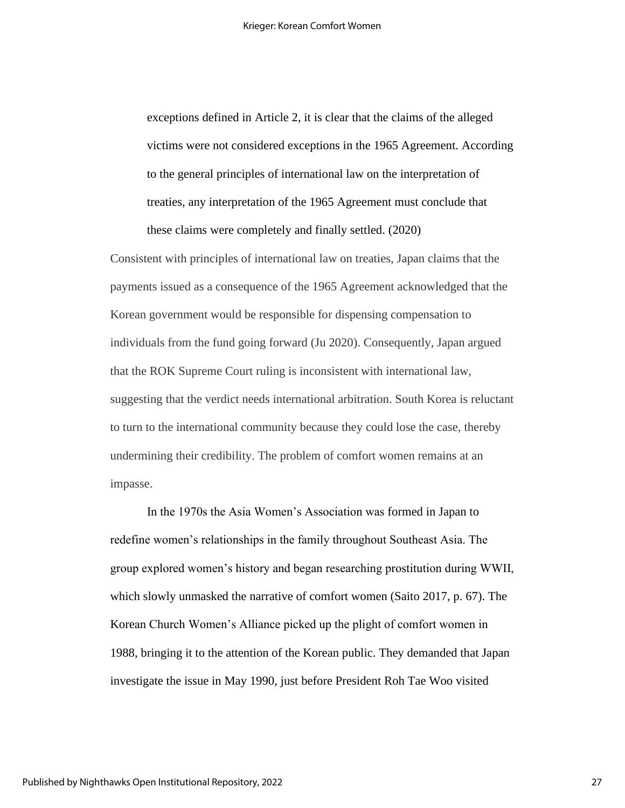exceptions defined in Article 2, it is clear that the claims of the alleged victims were not considered exceptions in the 1965 Agreement. According to the general principles of international law on the interpretation of treaties, any interpretation of the 1965 Agreement must conclude that these claims were completely and finally settled. (2020)

Consistent with principles of international law on treaties, Japan claims that the payments issued as a consequence of the 1965 Agreement acknowledged that the Korean government would be responsible for dispensing compensation to individuals from the fund going forward (Ju 2020). Consequently, Japan argued that the ROK Supreme Court ruling is inconsistent with international law, suggesting that the verdict needs international arbitration. South Korea is reluctant to turn to the international community because they could lose the case, thereby undermining their credibility. The problem of comfort women remains at an impasse.

In the 1970s the Asia Women's Association was formed in Japan to redefine women's relationships in the family throughout Southeast Asia. The group explored women's history and began researching prostitution during WWII, which slowly unmasked the narrative of comfort women (Saito 2017, p. 67). The Korean Church Women's Alliance picked up the plight of comfort women in 1988, bringing it to the attention of the Korean public. They demanded that Japan investigate the issue in May 1990, just before President Roh Tae Woo visited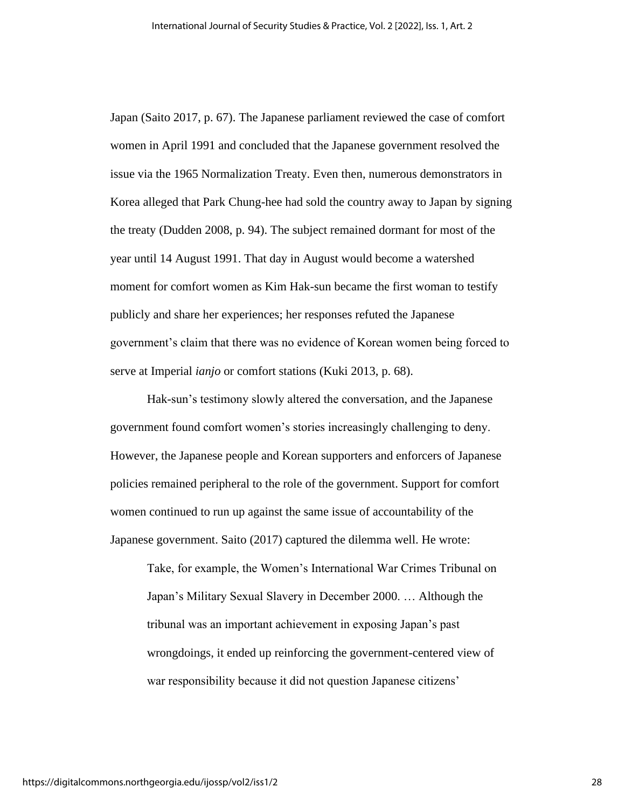Japan (Saito 2017, p. 67). The Japanese parliament reviewed the case of comfort women in April 1991 and concluded that the Japanese government resolved the issue via the 1965 Normalization Treaty. Even then, numerous demonstrators in Korea alleged that Park Chung-hee had sold the country away to Japan by signing the treaty (Dudden 2008, p. 94). The subject remained dormant for most of the year until 14 August 1991. That day in August would become a watershed moment for comfort women as Kim Hak-sun became the first woman to testify publicly and share her experiences; her responses refuted the Japanese government's claim that there was no evidence of Korean women being forced to serve at Imperial *ianjo* or comfort stations (Kuki 2013, p. 68).

Hak-sun's testimony slowly altered the conversation, and the Japanese government found comfort women's stories increasingly challenging to deny. However, the Japanese people and Korean supporters and enforcers of Japanese policies remained peripheral to the role of the government. Support for comfort women continued to run up against the same issue of accountability of the Japanese government. Saito (2017) captured the dilemma well. He wrote:

Take, for example, the Women's International War Crimes Tribunal on Japan's Military Sexual Slavery in December 2000. … Although the tribunal was an important achievement in exposing Japan's past wrongdoings, it ended up reinforcing the government-centered view of war responsibility because it did not question Japanese citizens'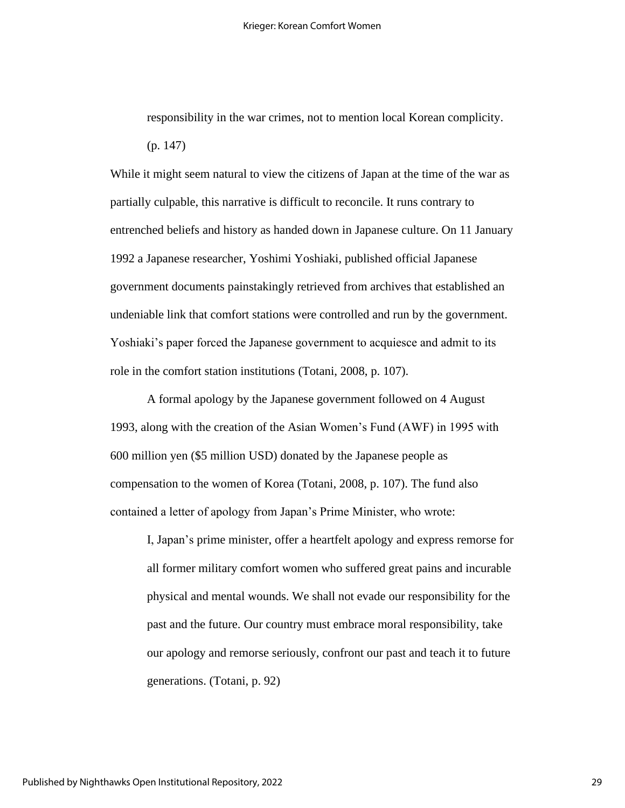responsibility in the war crimes, not to mention local Korean complicity. (p. 147)

While it might seem natural to view the citizens of Japan at the time of the war as partially culpable, this narrative is difficult to reconcile. It runs contrary to entrenched beliefs and history as handed down in Japanese culture. On 11 January 1992 a Japanese researcher, Yoshimi Yoshiaki, published official Japanese government documents painstakingly retrieved from archives that established an undeniable link that comfort stations were controlled and run by the government. Yoshiaki's paper forced the Japanese government to acquiesce and admit to its role in the comfort station institutions (Totani, 2008, p. 107).

A formal apology by the Japanese government followed on 4 August 1993, along with the creation of the Asian Women's Fund (AWF) in 1995 with 600 million yen (\$5 million USD) donated by the Japanese people as compensation to the women of Korea (Totani, 2008, p. 107). The fund also contained a letter of apology from Japan's Prime Minister, who wrote:

I, Japan's prime minister, offer a heartfelt apology and express remorse for all former military comfort women who suffered great pains and incurable physical and mental wounds. We shall not evade our responsibility for the past and the future. Our country must embrace moral responsibility, take our apology and remorse seriously, confront our past and teach it to future generations. (Totani, p. 92)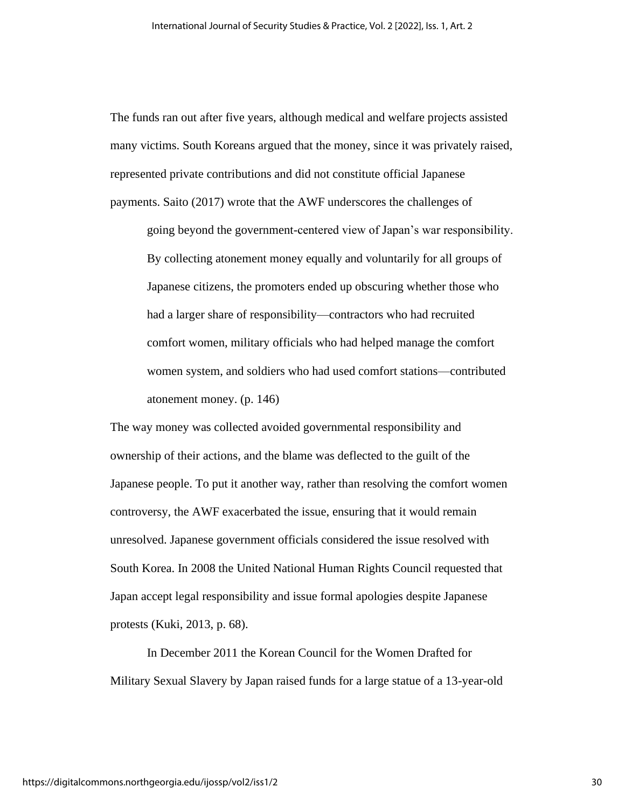The funds ran out after five years, although medical and welfare projects assisted many victims. South Koreans argued that the money, since it was privately raised, represented private contributions and did not constitute official Japanese payments. Saito (2017) wrote that the AWF underscores the challenges of

going beyond the government-centered view of Japan's war responsibility. By collecting atonement money equally and voluntarily for all groups of Japanese citizens, the promoters ended up obscuring whether those who had a larger share of responsibility—contractors who had recruited comfort women, military officials who had helped manage the comfort women system, and soldiers who had used comfort stations—contributed atonement money. (p. 146)

The way money was collected avoided governmental responsibility and ownership of their actions, and the blame was deflected to the guilt of the Japanese people. To put it another way, rather than resolving the comfort women controversy, the AWF exacerbated the issue, ensuring that it would remain unresolved. Japanese government officials considered the issue resolved with South Korea. In 2008 the United National Human Rights Council requested that Japan accept legal responsibility and issue formal apologies despite Japanese protests (Kuki, 2013, p. 68).

In December 2011 the Korean Council for the Women Drafted for Military Sexual Slavery by Japan raised funds for a large statue of a 13-year-old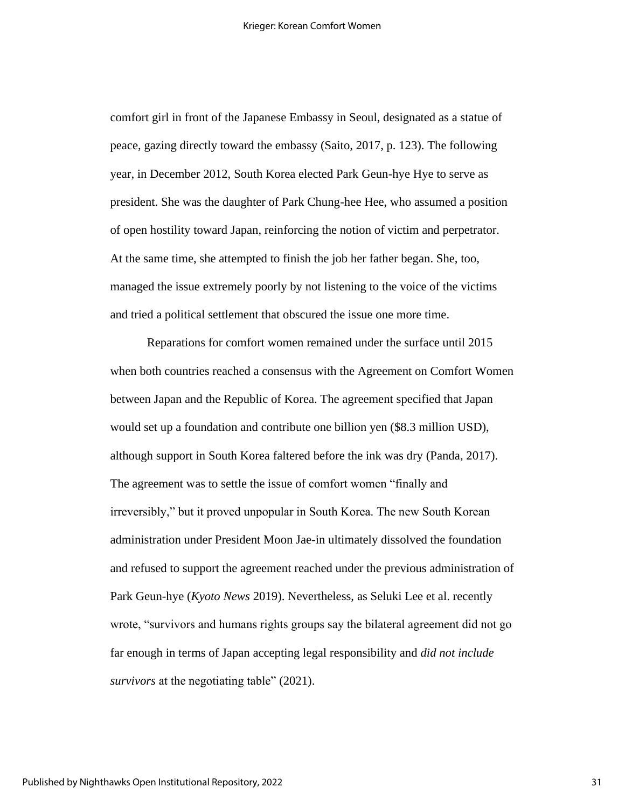comfort girl in front of the Japanese Embassy in Seoul, designated as a statue of peace, gazing directly toward the embassy (Saito, 2017, p. 123). The following year, in December 2012, South Korea elected Park Geun-hye Hye to serve as president. She was the daughter of Park Chung-hee Hee, who assumed a position of open hostility toward Japan, reinforcing the notion of victim and perpetrator. At the same time, she attempted to finish the job her father began. She, too, managed the issue extremely poorly by not listening to the voice of the victims and tried a political settlement that obscured the issue one more time.

Reparations for comfort women remained under the surface until 2015 when both countries reached a consensus with the Agreement on Comfort Women between Japan and the Republic of Korea. The agreement specified that Japan would set up a foundation and contribute one billion yen (\$8.3 million USD), although support in South Korea faltered before the ink was dry (Panda, 2017). The agreement was to settle the issue of comfort women "finally and irreversibly," but it proved unpopular in South Korea. The new South Korean administration under President Moon Jae-in ultimately dissolved the foundation and refused to support the agreement reached under the previous administration of Park Geun-hye (*Kyoto News* 2019). Nevertheless, as Seluki Lee et al. recently wrote, "survivors and humans rights groups say the bilateral agreement did not go far enough in terms of Japan accepting legal responsibility and *did not include survivors* at the negotiating table" (2021).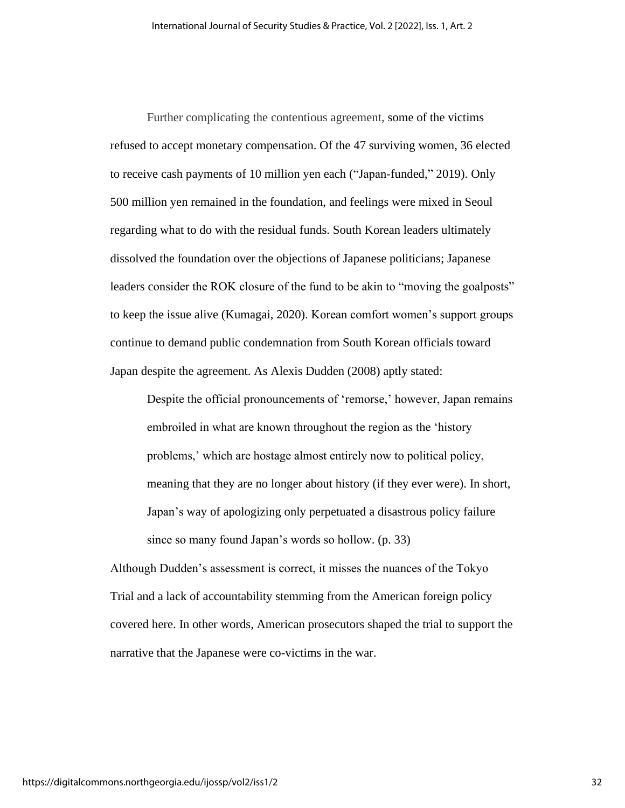Further complicating the contentious agreement, some of the victims refused to accept monetary compensation. Of the 47 surviving women, 36 elected to receive cash payments of 10 million yen each ("Japan-funded," 2019). Only 500 million yen remained in the foundation, and feelings were mixed in Seoul regarding what to do with the residual funds. South Korean leaders ultimately dissolved the foundation over the objections of Japanese politicians; Japanese leaders consider the ROK closure of the fund to be akin to "moving the goalposts" to keep the issue alive (Kumagai, 2020). Korean comfort women's support groups continue to demand public condemnation from South Korean officials toward Japan despite the agreement. As Alexis Dudden (2008) aptly stated:

Despite the official pronouncements of 'remorse,' however, Japan remains embroiled in what are known throughout the region as the 'history problems,' which are hostage almost entirely now to political policy, meaning that they are no longer about history (if they ever were). In short, Japan's way of apologizing only perpetuated a disastrous policy failure since so many found Japan's words so hollow. (p. 33)

Although Dudden's assessment is correct, it misses the nuances of the Tokyo Trial and a lack of accountability stemming from the American foreign policy covered here. In other words, American prosecutors shaped the trial to support the narrative that the Japanese were co-victims in the war.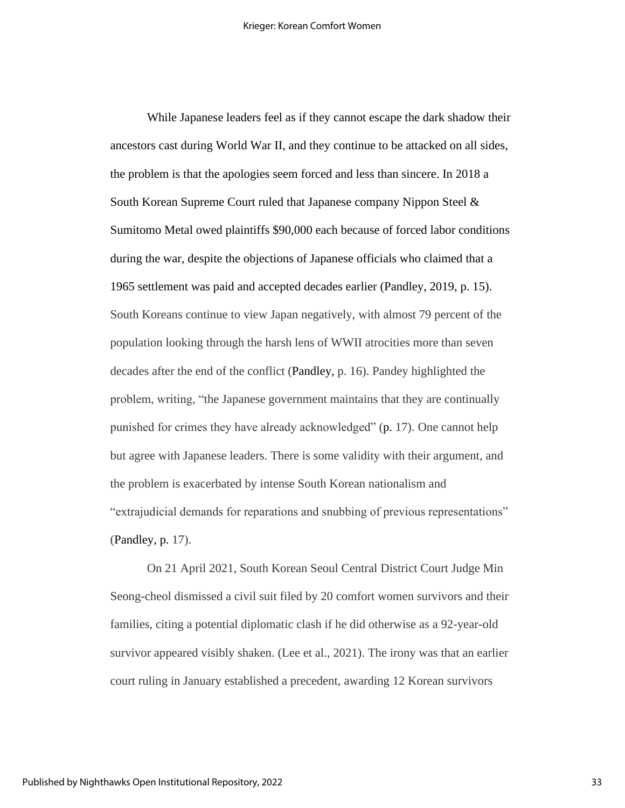While Japanese leaders feel as if they cannot escape the dark shadow their ancestors cast during World War II, and they continue to be attacked on all sides, the problem is that the apologies seem forced and less than sincere. In 2018 a South Korean Supreme Court ruled that Japanese company Nippon Steel & Sumitomo Metal owed plaintiffs \$90,000 each because of forced labor conditions during the war, despite the objections of Japanese officials who claimed that a 1965 settlement was paid and accepted decades earlier (Pandley, 2019, p. 15). South Koreans continue to view Japan negatively, with almost 79 percent of the population looking through the harsh lens of WWII atrocities more than seven decades after the end of the conflict (Pandley, p. 16). Pandey highlighted the problem, writing, "the Japanese government maintains that they are continually punished for crimes they have already acknowledged" (p. 17). One cannot help but agree with Japanese leaders. There is some validity with their argument, and the problem is exacerbated by intense South Korean nationalism and "extrajudicial demands for reparations and snubbing of previous representations" (Pandley, p. 17).

On 21 April 2021, South Korean Seoul Central District Court Judge Min Seong-cheol dismissed a civil suit filed by 20 comfort women survivors and their families, citing a potential diplomatic clash if he did otherwise as a 92-year-old survivor appeared visibly shaken. (Lee et al., 2021). The irony was that an earlier court ruling in January established a precedent, awarding 12 Korean survivors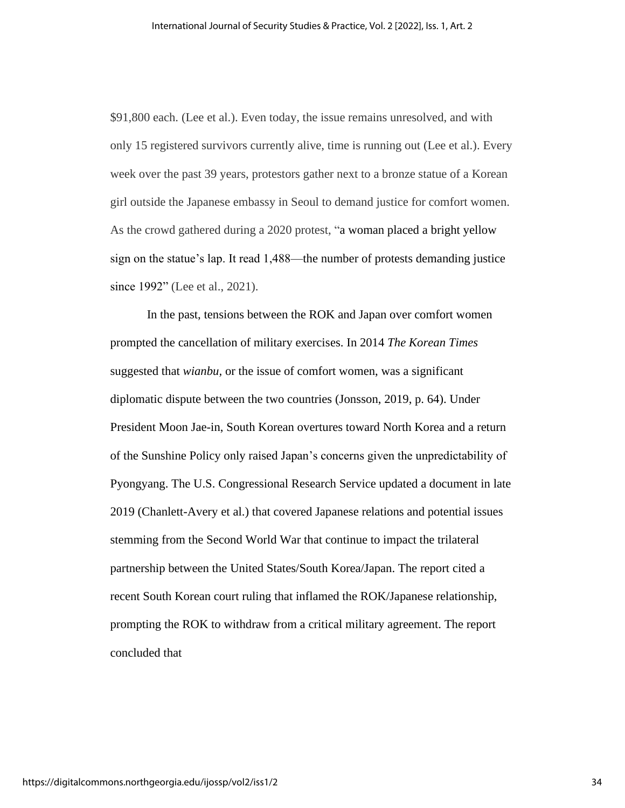\$91,800 each. (Lee et al.). Even today, the issue remains unresolved, and with only 15 registered survivors currently alive, time is running out (Lee et al.). Every week over the past 39 years, protestors gather next to a bronze statue of a Korean girl outside the Japanese embassy in Seoul to demand justice for comfort women. As the crowd gathered during a 2020 protest, "a woman placed a bright yellow sign on the statue's lap. It read 1,488—the number of protests demanding justice since 1992" (Lee et al., 2021).

In the past, tensions between the ROK and Japan over comfort women prompted the cancellation of military exercises. In 2014 *The Korean Times* suggested that *wianbu,* or the issue of comfort women, was a significant diplomatic dispute between the two countries (Jonsson, 2019, p. 64). Under President Moon Jae-in, South Korean overtures toward North Korea and a return of the Sunshine Policy only raised Japan's concerns given the unpredictability of Pyongyang. The U.S. Congressional Research Service updated a document in late 2019 (Chanlett-Avery et al.) that covered Japanese relations and potential issues stemming from the Second World War that continue to impact the trilateral partnership between the United States/South Korea/Japan. The report cited a recent South Korean court ruling that inflamed the ROK/Japanese relationship, prompting the ROK to withdraw from a critical military agreement. The report concluded that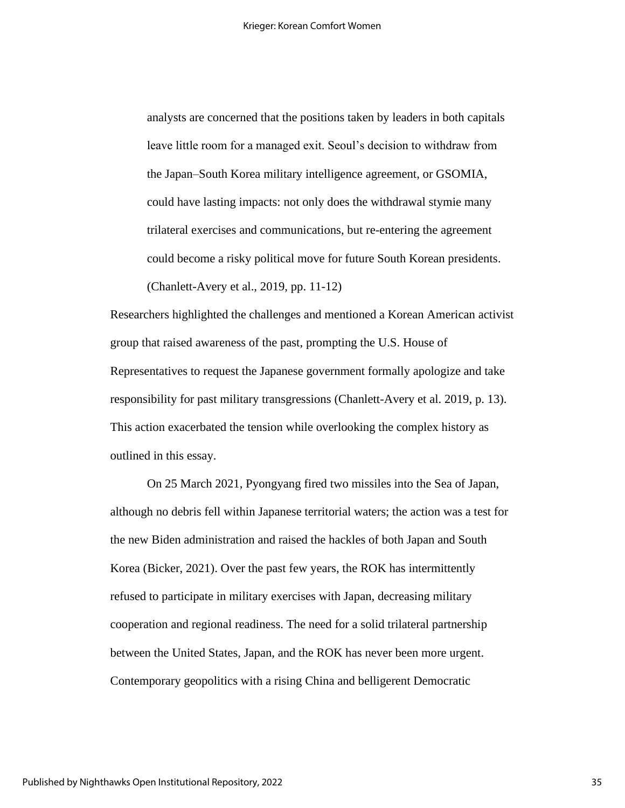analysts are concerned that the positions taken by leaders in both capitals leave little room for a managed exit. Seoul's decision to withdraw from the Japan–South Korea military intelligence agreement, or GSOMIA, could have lasting impacts: not only does the withdrawal stymie many trilateral exercises and communications, but re-entering the agreement could become a risky political move for future South Korean presidents. (Chanlett-Avery et al., 2019, pp. 11-12)

Researchers highlighted the challenges and mentioned a Korean American activist group that raised awareness of the past, prompting the U.S. House of Representatives to request the Japanese government formally apologize and take responsibility for past military transgressions (Chanlett-Avery et al. 2019, p. 13). This action exacerbated the tension while overlooking the complex history as outlined in this essay.

On 25 March 2021, Pyongyang fired two missiles into the Sea of Japan, although no debris fell within Japanese territorial waters; the action was a test for the new Biden administration and raised the hackles of both Japan and South Korea (Bicker, 2021). Over the past few years, the ROK has intermittently refused to participate in military exercises with Japan, decreasing military cooperation and regional readiness. The need for a solid trilateral partnership between the United States, Japan, and the ROK has never been more urgent. Contemporary geopolitics with a rising China and belligerent Democratic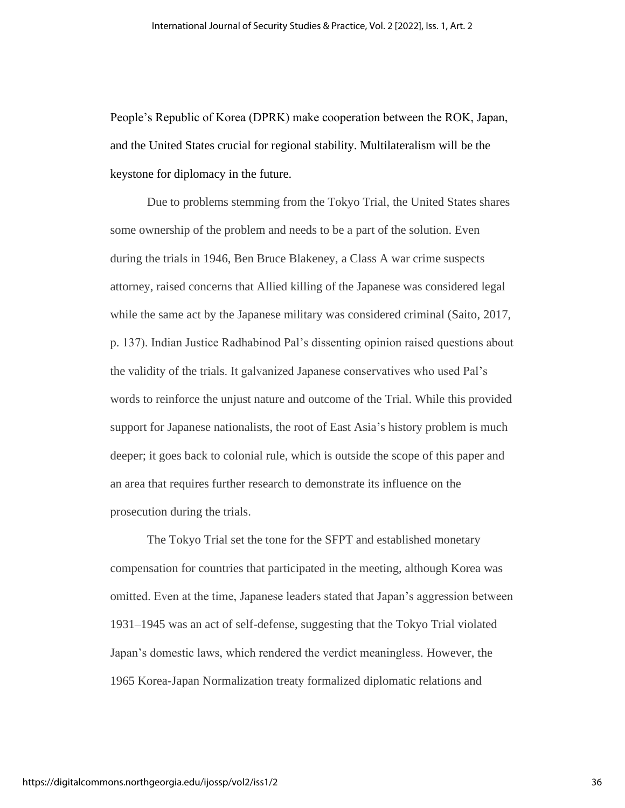People's Republic of Korea (DPRK) make cooperation between the ROK, Japan, and the United States crucial for regional stability. Multilateralism will be the keystone for diplomacy in the future.

Due to problems stemming from the Tokyo Trial, the United States shares some ownership of the problem and needs to be a part of the solution. Even during the trials in 1946, Ben Bruce Blakeney, a Class A war crime suspects attorney, raised concerns that Allied killing of the Japanese was considered legal while the same act by the Japanese military was considered criminal (Saito, 2017, p. 137). Indian Justice Radhabinod Pal's dissenting opinion raised questions about the validity of the trials. It galvanized Japanese conservatives who used Pal's words to reinforce the unjust nature and outcome of the Trial. While this provided support for Japanese nationalists, the root of East Asia's history problem is much deeper; it goes back to colonial rule, which is outside the scope of this paper and an area that requires further research to demonstrate its influence on the prosecution during the trials.

The Tokyo Trial set the tone for the SFPT and established monetary compensation for countries that participated in the meeting, although Korea was omitted. Even at the time, Japanese leaders stated that Japan's aggression between 1931–1945 was an act of self-defense, suggesting that the Tokyo Trial violated Japan's domestic laws, which rendered the verdict meaningless. However, the 1965 Korea-Japan Normalization treaty formalized diplomatic relations and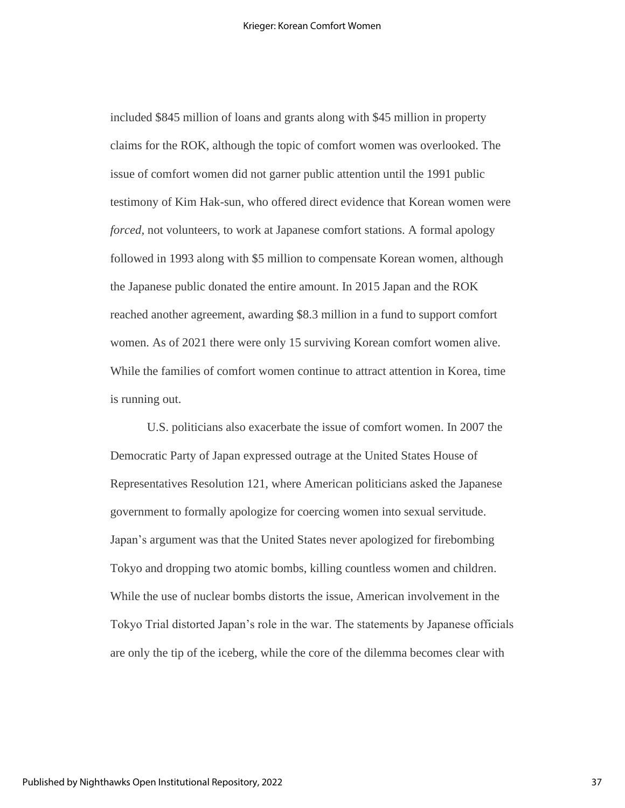included \$845 million of loans and grants along with \$45 million in property claims for the ROK, although the topic of comfort women was overlooked. The issue of comfort women did not garner public attention until the 1991 public testimony of Kim Hak-sun, who offered direct evidence that Korean women were *forced*, not volunteers, to work at Japanese comfort stations. A formal apology followed in 1993 along with \$5 million to compensate Korean women, although the Japanese public donated the entire amount. In 2015 Japan and the ROK reached another agreement, awarding \$8.3 million in a fund to support comfort women. As of 2021 there were only 15 surviving Korean comfort women alive. While the families of comfort women continue to attract attention in Korea, time is running out.

U.S. politicians also exacerbate the issue of comfort women. In 2007 the Democratic Party of Japan expressed outrage at the United States House of Representatives Resolution 121, where American politicians asked the Japanese government to formally apologize for coercing women into sexual servitude. Japan's argument was that the United States never apologized for firebombing Tokyo and dropping two atomic bombs, killing countless women and children. While the use of nuclear bombs distorts the issue, American involvement in the Tokyo Trial distorted Japan's role in the war. The statements by Japanese officials are only the tip of the iceberg, while the core of the dilemma becomes clear with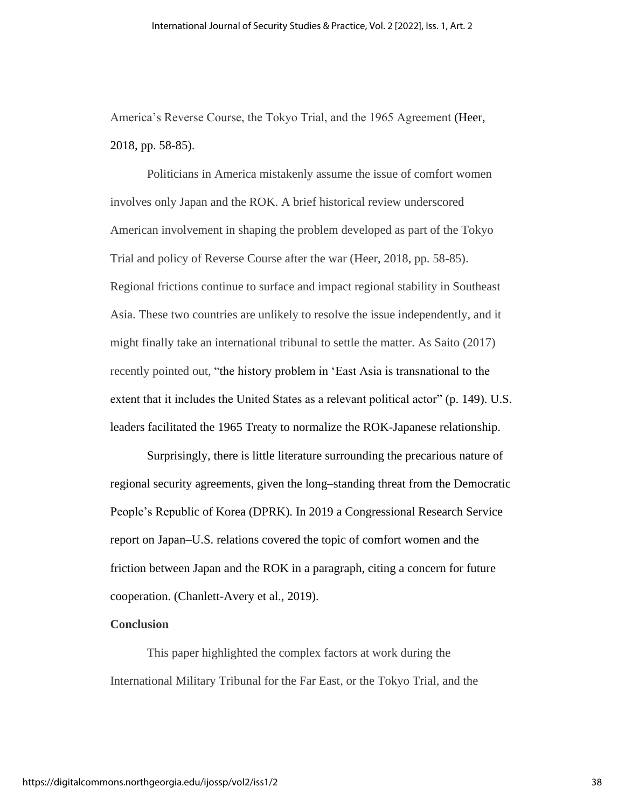America's Reverse Course, the Tokyo Trial, and the 1965 Agreement (Heer, 2018, pp. 58-85).

Politicians in America mistakenly assume the issue of comfort women involves only Japan and the ROK. A brief historical review underscored American involvement in shaping the problem developed as part of the Tokyo Trial and policy of Reverse Course after the war (Heer, 2018, pp. 58-85). Regional frictions continue to surface and impact regional stability in Southeast Asia. These two countries are unlikely to resolve the issue independently, and it might finally take an international tribunal to settle the matter. As Saito (2017) recently pointed out, "the history problem in 'East Asia is transnational to the extent that it includes the United States as a relevant political actor" (p. 149). U.S. leaders facilitated the 1965 Treaty to normalize the ROK-Japanese relationship.

Surprisingly, there is little literature surrounding the precarious nature of regional security agreements, given the long–standing threat from the Democratic People's Republic of Korea (DPRK). In 2019 a Congressional Research Service report on Japan–U.S. relations covered the topic of comfort women and the friction between Japan and the ROK in a paragraph, citing a concern for future cooperation. (Chanlett-Avery et al., 2019).

#### **Conclusion**

This paper highlighted the complex factors at work during the International Military Tribunal for the Far East, or the Tokyo Trial, and the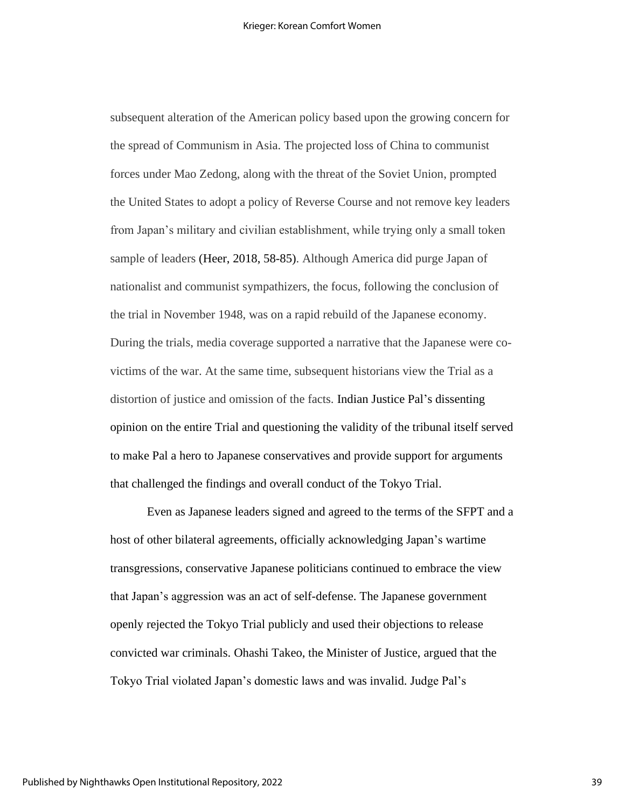subsequent alteration of the American policy based upon the growing concern for the spread of Communism in Asia. The projected loss of China to communist forces under Mao Zedong, along with the threat of the Soviet Union, prompted the United States to adopt a policy of Reverse Course and not remove key leaders from Japan's military and civilian establishment, while trying only a small token sample of leaders (Heer, 2018, 58-85). Although America did purge Japan of nationalist and communist sympathizers, the focus, following the conclusion of the trial in November 1948, was on a rapid rebuild of the Japanese economy. During the trials, media coverage supported a narrative that the Japanese were covictims of the war. At the same time, subsequent historians view the Trial as a distortion of justice and omission of the facts. Indian Justice Pal's dissenting opinion on the entire Trial and questioning the validity of the tribunal itself served to make Pal a hero to Japanese conservatives and provide support for arguments that challenged the findings and overall conduct of the Tokyo Trial.

Even as Japanese leaders signed and agreed to the terms of the SFPT and a host of other bilateral agreements, officially acknowledging Japan's wartime transgressions, conservative Japanese politicians continued to embrace the view that Japan's aggression was an act of self-defense. The Japanese government openly rejected the Tokyo Trial publicly and used their objections to release convicted war criminals. Ohashi Takeo, the Minister of Justice, argued that the Tokyo Trial violated Japan's domestic laws and was invalid. Judge Pal's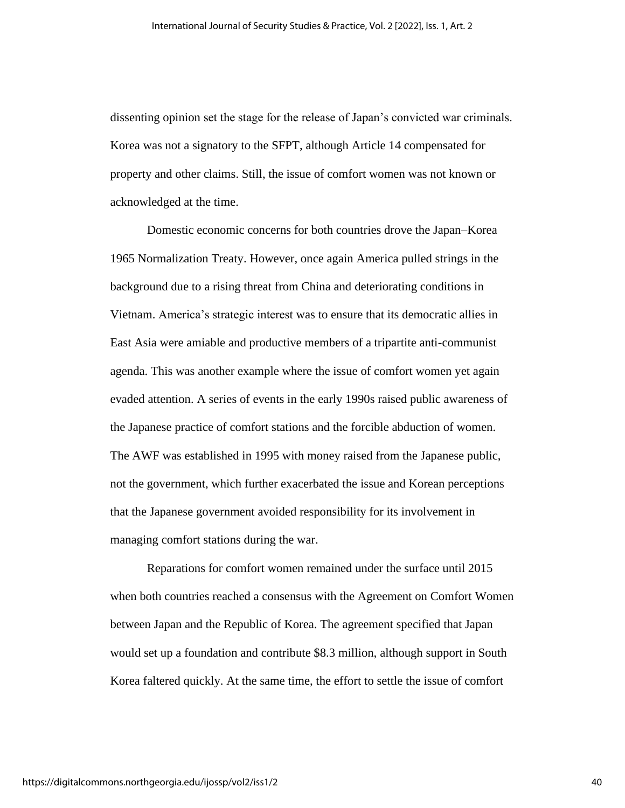dissenting opinion set the stage for the release of Japan's convicted war criminals. Korea was not a signatory to the SFPT, although Article 14 compensated for property and other claims. Still, the issue of comfort women was not known or acknowledged at the time.

Domestic economic concerns for both countries drove the Japan–Korea 1965 Normalization Treaty. However, once again America pulled strings in the background due to a rising threat from China and deteriorating conditions in Vietnam. America's strategic interest was to ensure that its democratic allies in East Asia were amiable and productive members of a tripartite anti-communist agenda. This was another example where the issue of comfort women yet again evaded attention. A series of events in the early 1990s raised public awareness of the Japanese practice of comfort stations and the forcible abduction of women. The AWF was established in 1995 with money raised from the Japanese public, not the government, which further exacerbated the issue and Korean perceptions that the Japanese government avoided responsibility for its involvement in managing comfort stations during the war.

Reparations for comfort women remained under the surface until 2015 when both countries reached a consensus with the Agreement on Comfort Women between Japan and the Republic of Korea. The agreement specified that Japan would set up a foundation and contribute \$8.3 million, although support in South Korea faltered quickly. At the same time, the effort to settle the issue of comfort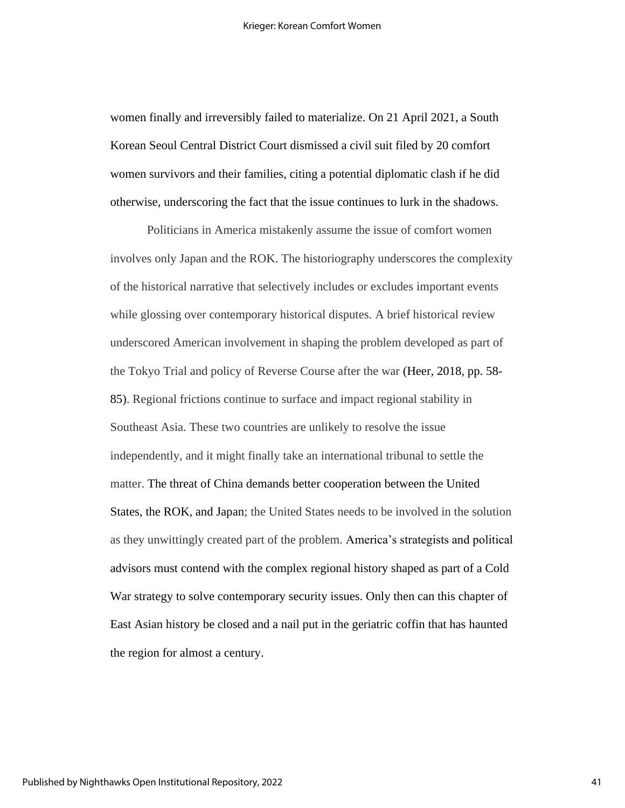women finally and irreversibly failed to materialize. On 21 April 2021, a South Korean Seoul Central District Court dismissed a civil suit filed by 20 comfort women survivors and their families, citing a potential diplomatic clash if he did otherwise, underscoring the fact that the issue continues to lurk in the shadows.

Politicians in America mistakenly assume the issue of comfort women involves only Japan and the ROK. The historiography underscores the complexity of the historical narrative that selectively includes or excludes important events while glossing over contemporary historical disputes. A brief historical review underscored American involvement in shaping the problem developed as part of the Tokyo Trial and policy of Reverse Course after the war (Heer, 2018, pp. 58- 85). Regional frictions continue to surface and impact regional stability in Southeast Asia. These two countries are unlikely to resolve the issue independently, and it might finally take an international tribunal to settle the matter. The threat of China demands better cooperation between the United States, the ROK, and Japan; the United States needs to be involved in the solution as they unwittingly created part of the problem. America's strategists and political advisors must contend with the complex regional history shaped as part of a Cold War strategy to solve contemporary security issues. Only then can this chapter of East Asian history be closed and a nail put in the geriatric coffin that has haunted the region for almost a century.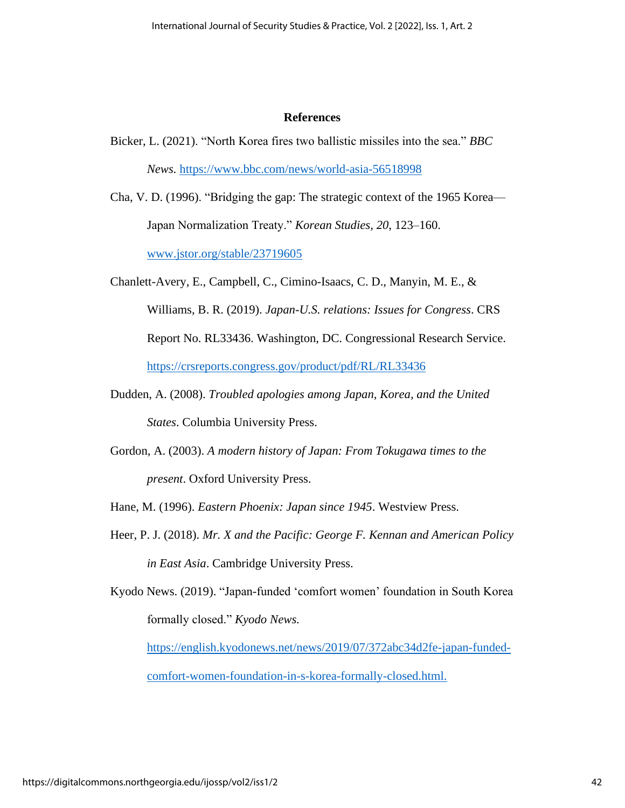#### **References**

- Bicker, L. (2021). "North Korea fires two ballistic missiles into the sea." *BBC News.* <https://www.bbc.com/news/world-asia-56518998>
- Cha, V. D. (1996). "Bridging the gap: The strategic context of the 1965 Korea— Japan Normalization Treaty." *Korean Studies, 20*, 123–160. [www.jstor.org/stable/23719605](http://www.jstor.org/stable/23719605)
- Chanlett-Avery, E., Campbell, C., Cimino-Isaacs, C. D., Manyin, M. E., & Williams, B. R. (2019). *Japan-U.S. relations: Issues for Congress*. CRS Report No. RL33436. Washington, DC. Congressional Research Service. <https://crsreports.congress.gov/product/pdf/RL/RL33436>
- Dudden, A. (2008). *Troubled apologies among Japan, Korea, and the United States*. Columbia University Press.
- Gordon, A. (2003). *A modern history of Japan: From Tokugawa times to the present*. Oxford University Press.
- Hane, M. (1996). *Eastern Phoenix: Japan since 1945*. Westview Press.
- Heer, P. J. (2018). *Mr. X and the Pacific: George F. Kennan and American Policy in East Asia*. Cambridge University Press.
- Kyodo News. (2019). "Japan-funded 'comfort women' foundation in South Korea formally closed." *Kyodo News.*

[https://english.kyodonews.net/news/2019/07/372abc34d2fe-japan-funded](https://english.kyodonews.net/news/2019/07/372abc34d2fe-japan-funded-comfort-women-foundation-in-s-korea-formally-closed.html)[comfort-women-foundation-in-s-korea-formally-closed.html.](https://english.kyodonews.net/news/2019/07/372abc34d2fe-japan-funded-comfort-women-foundation-in-s-korea-formally-closed.html)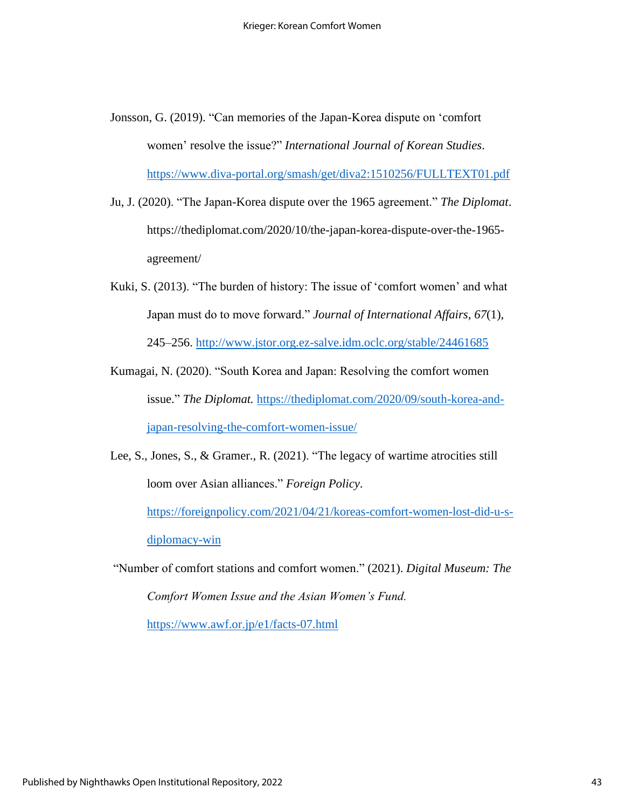- Jonsson, G. (2019). "Can memories of the Japan-Korea dispute on 'comfort women' resolve the issue?" *International Journal of Korean Studies*. <https://www.diva-portal.org/smash/get/diva2:1510256/FULLTEXT01.pdf>
- Ju, J. (2020). "The Japan-Korea dispute over the 1965 agreement." *The Diplomat*. https://thediplomat.com/2020/10/the-japan-korea-dispute-over-the-1965 agreement/
- Kuki, S. (2013). "The burden of history: The issue of 'comfort women' and what Japan must do to move forward." *Journal of International Affairs, 67*(1), 245–256. <http://www.jstor.org.ez-salve.idm.oclc.org/stable/24461685>
- Kumagai, N. (2020). "South Korea and Japan: Resolving the comfort women issue." *The Diplomat.* [https://thediplomat.com/2020/09/south-korea-and](https://thediplomat.com/2020/09/south-korea-and-japan-resolving-the-comfort-women-issue/)[japan-resolving-the-comfort-women-issue/](https://thediplomat.com/2020/09/south-korea-and-japan-resolving-the-comfort-women-issue/)

Lee, S., Jones, S., & Gramer., R. (2021). "The legacy of wartime atrocities still loom over Asian alliances." *Foreign Policy*. [https://foreignpolicy.com/2021/04/21/koreas-comfort-women-lost-did-u-s](https://foreignpolicy.com/2021/04/21/koreas-comfort-women-lost-did-u-s-diplomacy-win)[diplomacy-win](https://foreignpolicy.com/2021/04/21/koreas-comfort-women-lost-did-u-s-diplomacy-win)

"Number of comfort stations and comfort women." (2021). *Digital Museum: The Comfort Women Issue and the Asian Women's Fund.* <https://www.awf.or.jp/e1/facts-07.html>